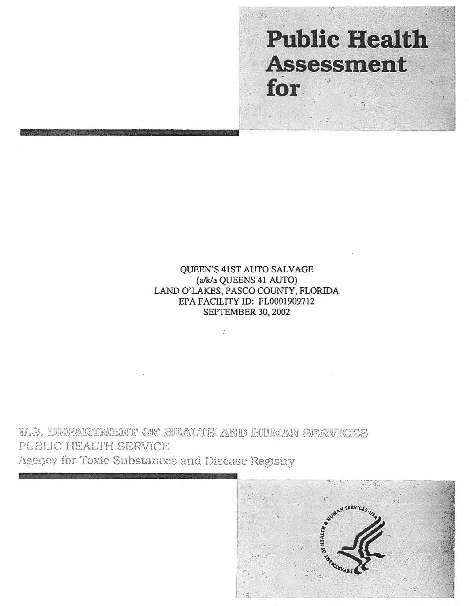# **Public Health Assessment** for

QUEEN'S 41ST AUTO SALVAGE (alk/a QUEENS 41 AUTO) LAND O'LAKES, PASCO COUNTY, FLORIDA EPA FACILITY ID: FL0001909712 SEPTEMBER 30, 2002

U.S. DEPARTMENT OF REALTE AND RUMAN SEXVICES PUBLIC HEALTH SERVICE Agency for Toxic Substances and Disease Registry

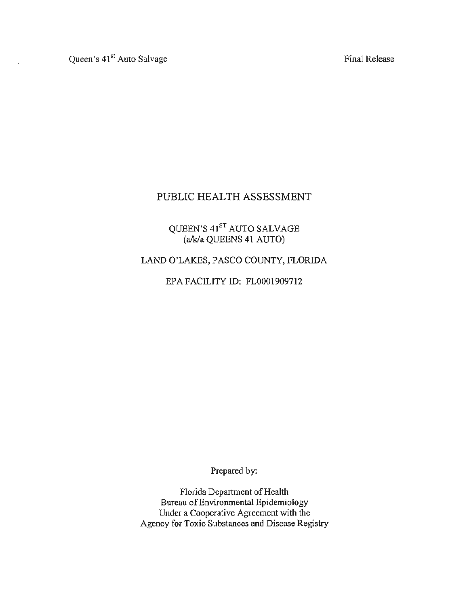Final Release

# PUBLIC HEALTH ASSESSMENT

# QUEEN'S 41<sup>s1</sup> AUTO SALVAGE (a/k/a QUEENS 41 AUTO)

# LAND O'LAKES, PASCO COUNTY, FLORIDA

EPA FACILITY ID: FL0001909712

Prepared by:

Florida Department of Health Bureau of Environmental Epidemiology Under a Cooperative Agreement with the Agency for Toxic Substances and Disease Registry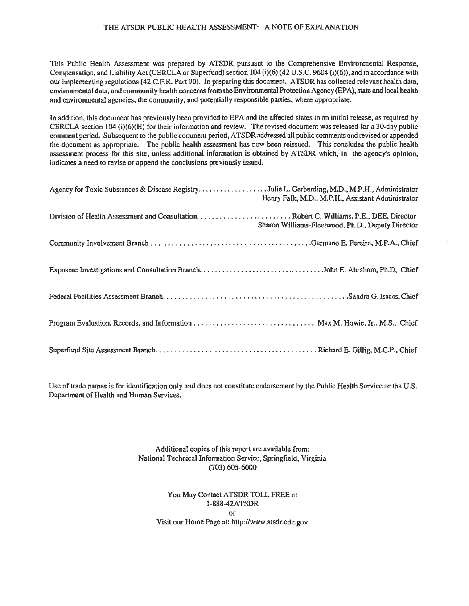#### THE ATSDR PUBLIC HEALTH ASSESSMENT: A NOTE OF EXPLANATION

This Public Health Assessment was prepared by ATSDR pursuant to the Comprehensive Environmental Response, Compensation, and Liability Act (CERCLAor Superfund) section 104 (i)(6) (42 U.S.C. 9604 (i)(6)), and in accordance with our implementing regulations (42 C.F.R. Part 90). In preparing this document, ATSDR has collected relevant health data, environmental data, and community health concerns from the Environmental Protection Agency (EPA), state and local health and environmental agencies, the community, and potentially responsible parties, where appropriate.

In addition, this document has previously been provided to EPA and the affected states in an initial release, as required by CERCLA section 104 (i)(6)(H) for their information and review. The revised document was released for a 30-day public comment period. Subsequent to the public comment period, ATSDR addressed all public comments and revised or appended the document as appropriate. The public health assessment has now been reissued. This concludes the public health assessment process for this site, unless additional information is obtained by ATSDR which, in the agency's opinion, indicates a need to revise or append the conclusions previously issued.

| Agency for Toxic Substances & Discase RegistryJulie L. Gerberding, M.D., M.P.H., Administrator | Henry Falk, M.D., M.P.H., Assistant Administrator |
|------------------------------------------------------------------------------------------------|---------------------------------------------------|
|                                                                                                | Sharon Williams-Fleetwood, Ph.D., Deputy Director |
|                                                                                                |                                                   |
|                                                                                                |                                                   |
|                                                                                                |                                                   |
|                                                                                                |                                                   |
|                                                                                                |                                                   |

Use of trade names is for identification only and does not constitute endorsement by the Public Health Service or the U.S. Department of Health and Human Services.

> Additional copies of this report are available from: National Technical Information Service, Springfield, Virginia (703) 605-6000

You May Contact ATSDR TOLL FREE at l-888-42ATSDR or Visit our Home Page at: http://www.atsdr.cdc.gov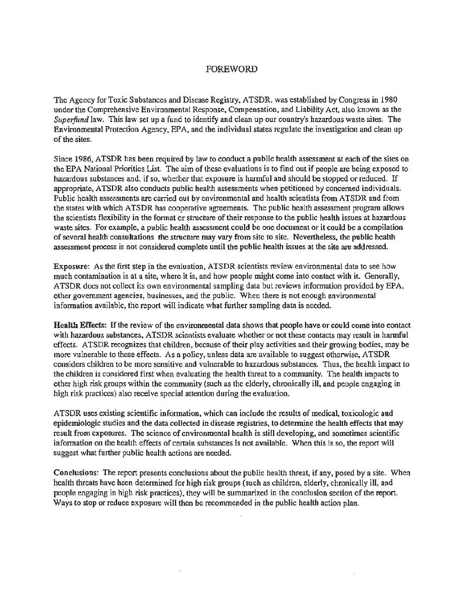#### FOREWORD

The Agency for Toxic Substances and Disease Registry, ATSDR, was established by Congress in 1980 under the Comprehensive Environmental Response, Compensation, and Liability Act, also known as the *Superfund* law. This law set up a fund to identify and clean up our country's hazardous waste sites. The Environmental Protection Agency, EPA, and the individual states regulate the investigation and clean up of the sites.

Since 1986, ATSDR has been required by law to conduct a public health assessment at each of the sites on the EPA National Priorities List. The aim of these evaluations is to fmd out if people are being exposed to hazardous substances and, if so, whether that exposure is harmful and should be stopped or reduced. If appropriate, ATSDR also conducts public health assessments when petitioned by concerned individuals. Public health assessments are carried out by environmental and health scientists from ATSDR and from the states with which ATSDR has cooperative agreements. The public health assessment program allows the scientists flexibility in the format or structure of their response to the public health issues at hazardous waste sites. For example, a public health assessment could be one document or it could be a compilation of several health consultations the structure may vary from site to site. Nevertheless, the public health assessment process is not considered complete until the public health issues at the site are addressed.

Exposure: As the first step in the evaluation, ATSDR scientists review environmental data to see how much contamination is at a site, where it is, and how people might come into contact with it. Generally, ATSDR does not collect its own environmental sampling data but reviews information provided by EPA, other government agencies, businesses, and the public. When there is not enough environmental information available, the report will indicate what further sampling data is needed.

Health Effects: If the review of the environmental data shows that people have or could come into contact with hazardous substances, ATSDR scientists evaluate whether or not these contacts may result in harmful effects. ATSDR recognizes that children, because of their play activities and their growing bodies, may be more vulnerable to these effects. As a policy, unless data are available to suggest otherwise, ATSDR considers children to be more sensitive and vulnerable to hazardous substances. Thus, the health impact to the children is considered first when evaluating the health threat to a community. The health impacts to other high risk groups within the community (such as the elderly, chronically ill, and people engaging in high risk practices) also receive special attention during the evaluation.

A TSDR uses existing scientific information, which can include the results of medical, toxicologic and epidemiologic studies and the data collected in disease registries, to determine the health effects that may result from exposures. The science of environmental health is still developing, and sometimes scientific information on the health effects of certain substances is not available. When this is so, the report will suggest what further public health actions are needed.

Conclusions: The report presents conclusions about the public health threat, if any, posed by a site. When health threats have been determined for high risk groups (such as children, elderly, chronically ill, and people engaging in high risk practices), they will be summarized in the conclusion section of the report. Ways to stop or reduce exposure will then be recommended in the public health action plan.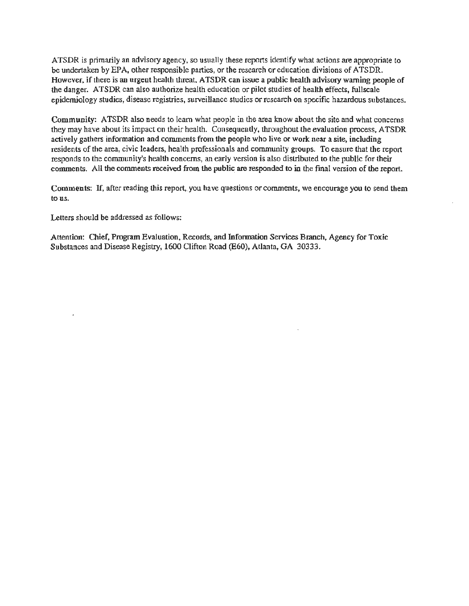ATSDR is primarily an advisory agency, so usually these reports identify what actions are appropriate to be undertaken by EPA, other responsible parties, or the research or education divisions of ATSDR. However, if there is an urgent health threat, ATSDR can issue a public health advisory warning people of the danger. A TSDR can also authorize health education or pilot studies of health effects, fullscale epidemiology studies, disease registries, surveillance studies or research on specific hazardous substances.

Community: ATSDR also needs to learn what people in the area know about the site and what concerns they may have about its impact on their health. Consequently, throughout the evaluation process, ATSDR actively gathers information and comments from the people who live or work near a site, including residents of the area, civic leaders, health professionals and community groups. To ensure that the report responds to the community's health concerns, an early version is also distributed to the public for their comments. All the comments received from the public are responded to in the final version of the report.

Comments: If, after reading this report, you have questions or comments, we encourage you to send them to us.

Letters should be addressed as follows:

Attention: Chief, Program Evaluation, Records, and Information Services Branch, Agency for Toxic Substances and Disease Registry, 1600 Clifton Road (E60), Atlanta, GA 30333.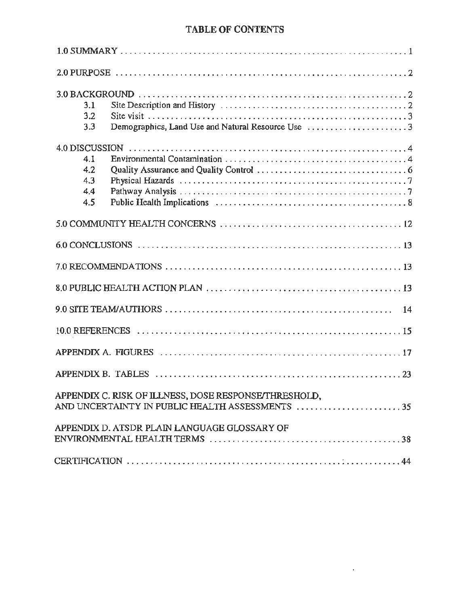# TABLE OF CONTENTS

| 3.1 |                                                                                                          |
|-----|----------------------------------------------------------------------------------------------------------|
| 3.2 |                                                                                                          |
| 3.3 |                                                                                                          |
|     |                                                                                                          |
| 4.1 |                                                                                                          |
| 4.2 |                                                                                                          |
| 4.3 |                                                                                                          |
| 4.4 |                                                                                                          |
| 4.5 |                                                                                                          |
|     |                                                                                                          |
|     |                                                                                                          |
|     |                                                                                                          |
|     |                                                                                                          |
|     |                                                                                                          |
|     |                                                                                                          |
|     |                                                                                                          |
|     |                                                                                                          |
|     | APPENDIX C. RISK OF ILLNESS, DOSE RESPONSE/THRESHOLD,<br>AND UNCERTAINTY IN PUBLIC HEALTH ASSESSMENTS 35 |
|     | APPENDIX D. ATSDR PLAIN LANGUAGE GLOSSARY OF                                                             |
|     |                                                                                                          |
|     |                                                                                                          |

 $\mathbf{r}$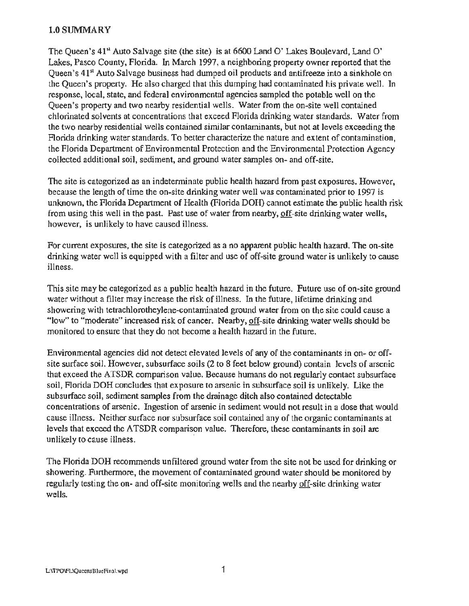#### l.OSUMMARY

The Queen's  $41<sup>st</sup>$  Auto Salvage site (the site) is at 6600 Land O' Lakes Boulevard, Land O' Lakes, Pasco County, Florida. In March 1997, a neighboring property owner reported that the Queen's 41<sup>st</sup> Auto Salvage business had dumped oil products and antifreeze into a sinkhole on the Queen's property. He also charged that this dumping had contaminated his private well. In response, local, state, and federal environmental agencies sampled the potable well on the Queen's property and two nearby residential wells. Water from the on-site well contained chlorinated solvents at concentrations that exceed Florida drinking water standards. Water from the two nearby residential wells contained similar contaminants, but not at levels exceeding the Florida drinking water standards. To better characterize the nature and extent of contamination, the Florida Department of Environmental Protection and the Environmental Protection Agency collected additional soil, sediment, and ground water samples on- and off-site.

The site is categorized as an indeterminate public health hazard from past exposures. However, because the length of time the on-site drinking water well was contaminated prior to 1997 is unknown, the Florida Department of Health (Florida DOH) cannot estimate the public health risk from using this well in the past. Past use of water from nearby, off-site drinking water wells, however, is unlikely to have caused illness.

For current exposures, the site is categorized as a no apparent public health hazard. The on-site drinking water well is equipped with a filter and use of off-site ground water is unlikely to cause illness.

This site may be categorized as a public health hazard in the future. Future use of on-site ground water without a filter may increase the risk of illness. In the future, lifetime drinking and showering with tetrachlorotheylene-contaminated ground water from on the site could cause a " low" to "moderate" increased risk of cancer. Nearby, off-site drinking water wells should be monitored to ensure that they do not become a health hazard in the future.

Environmental agencies did not detect elevated levels of any of the contaminants in on- or offsite surface soil. However, subsurface soils (2 to 8 feet below ground) contain levels of arsenic that exceed the ATSDR comparison ·value. Because humans do not regularly contact subsurface soil, Florida DOH concludes that exposure to arsenic in subsurface soil is unlikely. Like the subsurface soil, sediment samples from the drainage ditch also contained detectable concentrations of arsenic. Ingestion of arsenic in sediment would not result in a dose that would cause illness. Neither surface nor subsurface soil contained any of the organic contaminants at levels that exceed the ATSDR comparison value. Therefore, these contaminants in soil are unlikely to cause illness.

The Florida DOH recommends unfiltered ground water from the site not be used for drinking or showering. Furthermore, the movement of contaminated ground water should be monitored by regularly testing the on- and off-site monitoring wells and the nearby off-site drinking water wells.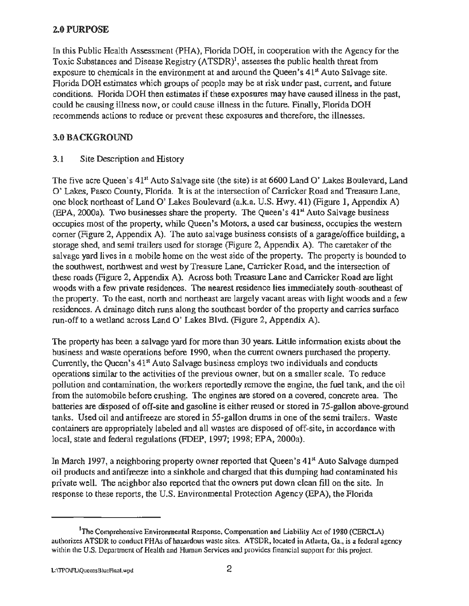#### 2.0 PURPOSE

In this Public Health Assessment (PHA), Florida DOH, in cooperation with the Agency for the Toxic Substances and Disease Registry  $(ATSDR)^1$ , assesses the public health threat from exposure to chemicals in the environment at and around the Queen's  $41<sup>st</sup>$  Auto Salvage site. Florida DOH estimates which groups of people may be at risk under past, current, and future conditions. Florida DOH then estimates if these exposures may have caused illness in the past, could be causing illness now, or could cause illness in the future. Finally, Florida DOH recommends actions to reduce or prevent these exposures and therefore, the illnesses.

## 3.0 BACKGROUND

#### 3.1 Site Description and History

The five acre Queen's 41<sup>st</sup> Auto Salvage site (the site) is at 6600 Land O' Lakes Boulevard, Land 0' Lakes, Pasco County, Florida. It is at the intersection of Carricker Road and Treasure Lane, one block northeast of Land 0' Lakes Boulevard (a.k.a. U.S. Hwy. 41) (Figure 1, Appendix A) (EPA, 2000a). Two businesses share the property. The Queen's  $41<sup>4</sup>$  Auto Salvage business occupies most of the property, while Queen's Motors, a used car business, occupies the western comer (Figure 2, Appendix A). The auto salvage business consists of a garage/office building, a storage shed, and semi trailers used for storage (Figure 2, Appendix A). The caretaker of the salvage yard lives in a mobile home on the west side of the property. The property is bounded to the southwest, northwest and west by Treasure Lane, Carricker Road, and the intersection of these roads (Figure 2, Appendix A). Across both Treasure Lane and Carricker Road are light woods with a few private residences. The nearest residence lies immediately south-southeast of the property. To the east, north and northeast are largely vacant areas with light woods and a few residences. A drainage ditch runs along the southeast border of the property and carries surface run-off to a wetland across Land 0' Lakes Blvd. (Figure 2, Appendix A).

The property has been a salvage yard for more than 30 years. Little information exists about the business and waste operations before 1990, when the current owners purchased the property. Currently, the Queen's 41<sup>st</sup> Auto Salvage business employs two individuals and conducts operations similar to the activities of the previous owner, but on a smaller scale. To reduce pollution and contamination, the workers reportedly remove the engine, the fuel tank, and the oil from the automobile before crushing. The engines are stored on a covered, concrete area. The batteries are disposed of off-site and gasoline is either reused or stored in 75-gallon above-ground tanks. Used oil and antifreeze are stored in 55-gallon drums in one of the semi trailers. Waste containers are appropriately labeled and all wastes are disposed of off-site, in accordance with local, state and federal regulations (FDEP, 1997; 1998; EPA, 2000a).

In March 1997, a neighboring property owner reported that Queen's  $41<sup>st</sup>$  Auto Salvage dumped oil products and antifreeze into a sinkhole and charged that this dumping had contaminated his private well. The neighbor also reported that the owners put down clean fill on the site. In response to these reports, the U.S. Environmental Protection Agency (EPA), the Florida

<sup>&</sup>lt;sup>1</sup>The Comprehensive Environmental Response, Compensation and Liability Act of 1980 (CERCLA) authorizes ATSDR to conduct PHAs of hazardous waste sites. ATSDR, located in Atlanta, Ga., is a federal agency within the U.S. Department of Health and Human Services and provides financial support for this project.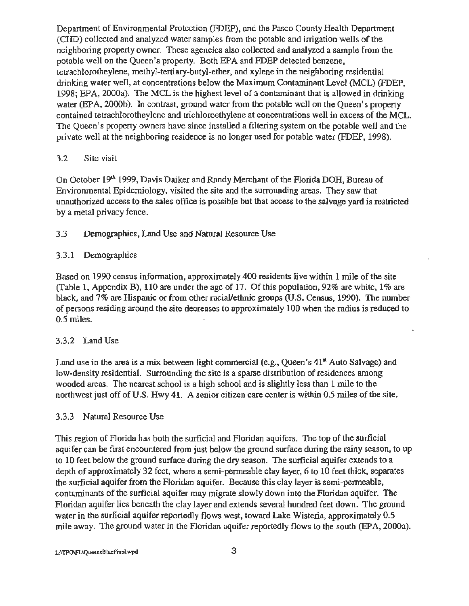Department of Environmental Protection (FDEP), and the Pasco County Health Department (CHD) collected and analyzed water samples from the potable and irrigation wells of the neighboring property owner. These agencies also collected and analyzed a sample from the potable well on the Queen's property. Both EPA and FDEP detected benzene, tetrachlorotheylene, methyl-tertiary-butyl-ether, and xylene in the neighboring residential drinking water well, at concentrations below the Maximum Contaminant Level (MCL) (FDEP, 1998; EPA, 2000a). The MCL is the highest level of a contaminant that is allowed in drinking water (EPA, 2000b). In contrast, ground water from the potable well on the Queen's property contained tetrachlorotheylene and trichloroethylene at concentrations well in excess of the MCL. The Queen's property owners have since installed a filtering system on the potable well and the private well at the neighboring residence is no longer used for potable water (FDEP, 1998).

#### 3.2 Site visit

On October 19<sup>th</sup> 1999, Davis Daiker and Randy Merchant of the Florida DOH, Bureau of Environmental Epidemiology, visited the site and the surrounding areas. They saw that unauthorized access to the sales office is possible but that access to the salvage yard is restricted by a metal privacy fence.

#### 3.3 Demographics, Land Use and Natural Resource Use

#### 3.3.1 Demographics

Based on 1990 census information, approximately 400 residents live within 1 mile of the site (Table 1, Appendix B), 110 are under the age of 17. Of this population, 92% are white, 1% are black, and 7% are Hispanic or from other racial/ethnic groups (U.S. Census, 1990). The number of persons residing around the site decreases to approximately 100 when the radius is reduced to 0.5 miles.

#### 3.3.2 Land Use

Land use in the area is a mix between light commercial (e.g., Queen's  $41<sup>u</sup>$  Auto Salvage) and low-density residential. Surrounding the site is a sparse distribution of residences among wooded areas. The nearest school is a high school and is slightly less than 1 mile to the northwest just off of U.S. Hwy 41. A senior citizen care center is within 0.5 miles of the site.

#### 3.3.3 Natural Resource Use

This region of Florida has both the surficial and Floridan aquifers. The top of the surficial aquifer can be first encountered from just below the ground surface during the rainy season, to up to 10 feet below the ground surface during the dry season. The surficial aquifer extends to a depth of approximately 32 feet, where a semi-permeable clay layer, 6 to 10 feet thick, separates the surficial aquifer from the Floridan aquifer. Because this clay layer is semi-permeable, contaminants of the surficial aquifer may migrate slowly down into the Floridan aquifer. The Floridan aquifer lies beneath the clay layer and extends several hundred feet down. The ground water in the surficial aquifer reportedly flows west, toward Lake Wisteria, approximately 0.5 mile away. The ground water in the Floridan aquifer reportedly flows to the south (EPA, 2000a).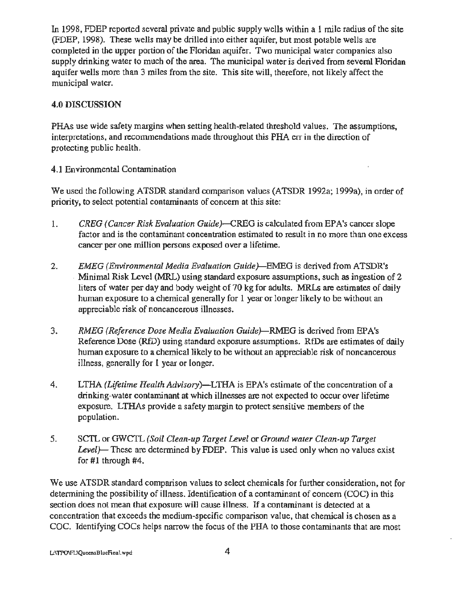In 1998, FDEP reported several private and public supply wells within a 1 mile radius of the site (FDEP, 1998). These wells may be drilled into either aquifer, but most potable wells are completed in the upper portion of the Floridan aquifer. Two municipal water companies also supply drinking water to much of the area. The municipal water is derived from several Floridan aquifer wells more than 3 miles from the site. This site will, therefore, not likely affect the municipal water.

# 4.0 DISCUSSION

PHAs use wide safety margins when setting health-related threshold values. The assumptions, interpretations, and recommendations made throughout this PHA err in the direction of protecting public health.

# 4.1 Environmental Contamination

We used the following ATSDR standard comparison values (ATSDR 1992a; 1999a), in order of priority, to select potential contaminants of concern at this site:

- 1. *GREG (Cancer Risk Evaluation Guide)-CREG* is calculated from EPA's cancer slope factor and is the contaminant concentration estimated to result in no more than one excess cancer per one million persons exposed over a lifetime.
- 2. *EMEG (Environmental Media Evaluation Guide)-BMEG* is derived from ATSDR's . Minimal Risk Level (MRL) using standard exposure assumptions, such as ingestion of 2 liters of water per day and body weight of 70 kg for adults. MRLs are estimates of daily human exposure to a chemical generally for 1 year or longer likely to be without an appreciable risk of noncancerous illnesses. '
- 3. *RMEG (Reference Dose Media Evaluation Guide)-RMEG* is derived from EPA's Reference Dose (RID) using standard exposure assumptions. RIDs are estimates of daily human exposure to a chemical likely to be without an appreciable risk of noncancerous illness, generally for 1 year or longer.
- 4. LTHA *(Lifetime Health Advisory)-LTHA* is EPA's estimate of the concentration of a drinking-water contaminant at which illnesses are not expected to occur over lifetime exposure. LTHAs provide a safety margin to protect sensitive members of the population.
- 5. SC1L or GWCIL *(Soil Clean-up Target Level* or *Ground water Clean-up Target Level)-* These are determined by FDEP. This value is used only when no values exist for  $#1$  through  $#4$ .

We use ATSDR standard comparison values to select chemicals for further consideration, not for determining the possibility of illness. Identification of a contaminant of concern (COC) in this section does not mean that exposure will cause illness. If a contaminant is detected at a concentration that exceeds the medium-specific comparison value, that chemical is chosen as a COC. Identifying COCs helps narrow the focus of the PHA to those contaminants that are most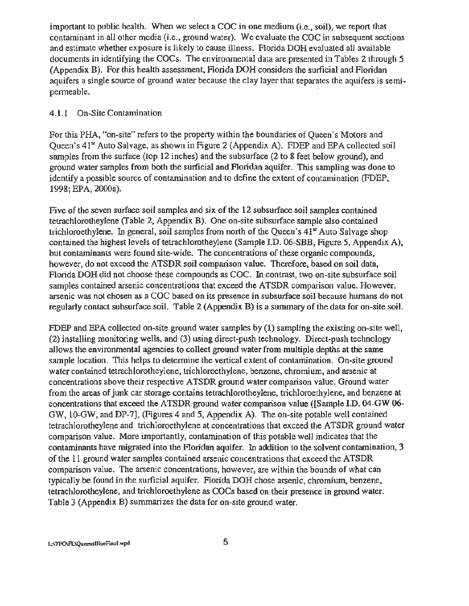important to public health. When we select a COC in one medium (i.e., soil), we report that contaminant in all other media (i.e., ground water). We evaluate the COC in subsequent sections and estimate whether exposure is likely to cause illness. Florida DOH evaluated all available documents in identifying the COCs. The environmental data are presented in Tables 2 through 5 (Appendix B). For this health assessment, Florida DOH considers the surficial and Floridan aquifers a single source of ground water because the clay layer that separates the aquifers is semipermeable.

#### 4.1.1 On-Site Contamination

For this PHA, "on-site" refers to the property within the boundaries of Queen's Motors and Queen's 41<sup>x</sup> Auto Salvage, as shown in Figure 2 (Appendix A). FDEP and EPA collected soil samples from the surface (top 12 inches) and the subsurface (2 to 8 feet below ground), and ground water samples from both the surficial and Floridan aquifer. This sampling was done to identify a possible source of contamination and to define the extent of contamination (FDEP, 1998; EPA, 2000a).

Five of the seven surface soil samples and six of the 12 subsurface soil samples contained tetrachlorotheylene (Table 2, Appendix B). One on-site subsurface sample also contained trichloroethylene. In general, soil samples from north of the Queen's  $41<sup>st</sup>$  Auto Salvage shop contained the highest levels of tetrachlorotheylene (Sample I.D. 06-SBB, Figure 5, Appendix A), but contaminants were found site-wide. The concentrations of these organic compounds, however, do not exceed the ATSDR soil comparison value. Therefore, based on soil data, Florida DOH did not choose these compounds as COC. In contrast, two on-site subsurface soil samples contained arsenic concentrations that exceed the ATSDR comparison value. However, arsenic was not chosen as a COC based on its presence in subsurface soil because humans do not regularly contact subsurface soil. Table 2 (Appendix B) is a summary of the data for on-site soil.

FDEP and EPA collected on-site ground water samples by (1) sampling the existing on-site well, (2) installing monitoring wells, and (3) using direct-push technology. Direct-push technology allows the environmental agencies to collect ground water from multiple depths at the same sample location. This helps to determine the vertical extent of contamination. On-site ground water contained tetrachlorotheylene, trichloroethylene, benzene, chromium, and arsenic at concentrations above their respective ATSDR ground water comparison value. Ground water from the areas of junk car storage contains tetrachlorotheylene, trichloroethylene, and benzene at concentrations that exceed the ATSDR ground water comparison value ([Sample I.D. 04-GW 06- GW, 10-GW, and DP-7], (Figures 4 and 5, Appendix A). The on-site potable well contained tetrachlorotheylene and trichloroethylene at concentrations that exceed the ATSDR ground water comparison value. More importantly, contamination of this potable welJ indicates that the contaminants have migrated into the Floridan aquifer. In addition *to* the solvent contamination, 3 of the 11 ground water samples contained arsenic concentrations that exceed the ATSDR comparison value. The arsenic concentrations, however, are within the bounds of what can typically be found in the surficial aquifer. Florida DOH chose arsenic, chromium, benzene, tetrachlorotheylene, and trichloroethylene as COCs based on their presence in ground water. Table 3 (Appendix B) summarizes the data for on-site ground water.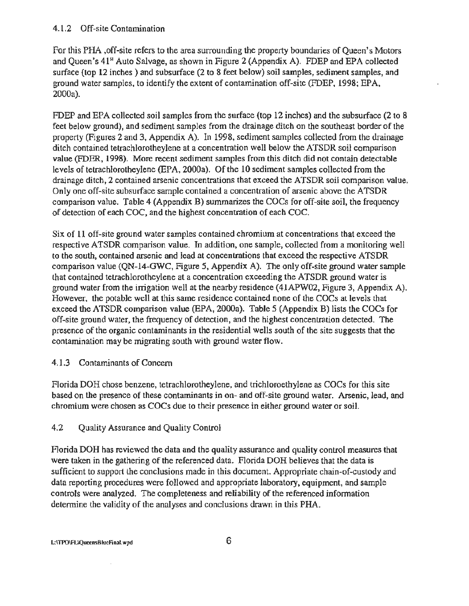#### 4.1.2 Off-site Contamination

For this PHA ,off-site refers to the area surrounding the property boundaries of Queen's Motors and Queen's 41<sup>st</sup> Auto Salvage, as shown in Figure 2 (Appendix A). FDEP and EPA collected surface (top 12 inches) and subsurface (2 to 8 feet below) soil samples, sediment samples, and ground water samples, to identify the extent of contamination off-site (FDEP, 1998; EPA, 2000a).

FDEP and EPA collected soil samples from the surface (top 12 inches) and the subsurface (2 to 8 feet below ground), and sediment samples from the drainage ditch on the southeast border of the property (Figures 2 and 3, Appendix A). In 1998, sediment samples collected from the drainage ditch contained tetrachlorotheylene at a concentration well below the ATSDR soil comparison value (FDER, 1998). More recent sediment samples from this ditch did not contain detectable levels of tetrachlorotheylene (EPA, 2000a). Of the 10 sediment samples collected from the drainage ditch, 2 contained arsenic concentrations that exceed the ATSDR soil comparison value. Only one off-site subsurface sample contained a concentration of arsenic above the ATSDR comparison value. Table 4 (Appendix B) summarizes the COCs for off-site soil, the frequency of detection of each COC, and the highest concentration of each COC.

Six of 11 off-site ground water samples contained chromium at concentrations that exceed the respective ATSDR comparison value. In addition, one sample, collected from a monitoring well to the south, contained arsenic and lead at concentrations that exceed the respective ATSDR comparison value (QN-14-GWC, Figure 5, Appendix A). The only off-site ground water sample that contained tetrachlorotheylene at a concentration exceeding the ATSDR ground water is ground water from the irrigation well at the nearby residence (41APW02, Figure 3, Appendix A). However, the potable well at this same residence contained none of the COCs at levels that exceed the ATSDR comparison value (EPA, 2000a). Table 5 (Appendix B) lists the COCs for off-site ground water, the frequency of detection, and the highest concentration detected. The presence of the organic contaminants in the residential wells south of the site suggests that the contamination may be migrating south with ground water flow.

# 4.1.3 Contaminants of Concern

Florida DOH chose benzene, tetrachlorotheylene, and trichloroethylene as COCs for this site based on the presence of these contaminants in on- and off-site ground water. Arsenic, lead, and chromium were chosen as COCs due to their presence in either ground water or soil.

# 4.2 Ouality Assurance and Quality Control

Florida DOH has reviewed the data and the quality assurance and quality control measures that were taken in the gathering of the referenced data. Florida DOH believes that the data is sufficient to support the conclusions made in this document. Appropriate chain-of-custody and data reporting procedures were followed and appropriate laboratory, equipment, and sample controls were analyzed. The completeness and reliability of the referenced information determine the validity of the analyses and conclusions drawn in this PHA.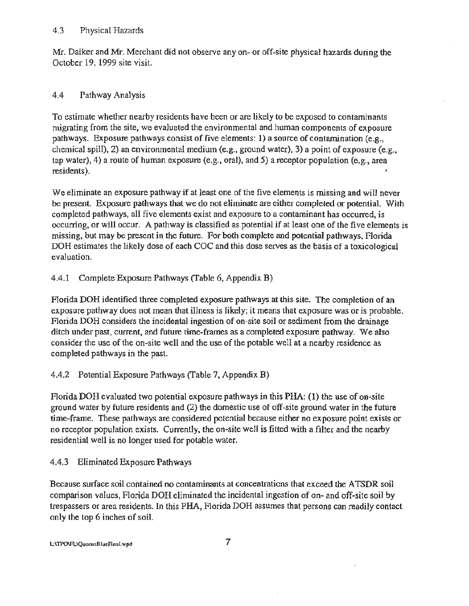#### 4.3 Physical Hazards

Mr. Daiker and Mr. Merchant did not observe any on- or off-site physical hazards during the October 19, 1999 site visit.

# 4.4 Pathway Analysis

To estimate whether nearby residents have been or are likely to be exposed to contaminants migrating from the site, we evaluated the environmental and human components of exposure pathways. Exposure pathways consist of five elements: I) a source of contamination (e.g., chemical spill), 2) an environmental medium (e.g., ground water), 3) a point of exposure (e.g., tap water), 4) a route of human exposure (e.g., oral), and 5) a receptor population (e.g., area residents).

We eliminate an exposure pathway if at least one of the five elements is missing and will never be present. Exposure pathways that we do not eliminate are either completed or potential. With completed pathways, all five elements exist and exposure to a contaminant has occurred, is occurring, or will occur. A pathway is classified as potential if at least one of the five elements is missing, but may be present in the future. For both complete and potential pathways, Florida DOH estimates the likely dose of each COC and this dose serves as the basis of a toxicological evaluation.

# 4.4.1 Complete Exposure Pathways (Table 6, Appendix B)

Florida DOH identified three completed exposure pathways at this site. The completion of an exposure pathway does not mean that illness is likely; it means that exposure was or is probable. Florida DOH considers the incidental ingestion of on-site soil or sediment from the drainage ditch under past, current, and future time-frames as a completed exposure pathway. We also consider the use of the on-site well and the use of the potable well at a nearby residence as completed pathways in the past.

# 4.4.2 Potential Exposure Pathways (Table 7, Appendix B)

Florida DOH evaluated two potential exposure pathways in this PHA: (1) the use of on-site ground water by future residents and (2) the domestic use of off-site ground water in the future time-frame. These pathways are considered potential because either no exposure point exists or no receptor population exists. Currently, the on-site well is fitted with a filter and the nearby residential well is no longer used for potable water.

# 4.4.3 Eliminated Exposure Pathways

Because surface soil contained no contaminants at concentrations that exceed the ATSDR soil comparison values, Florida DOH eliminated the incidental ingestion of on- and off-site soil by trespassers or area residents. In this PHA, Florida DOH assumes that persons can readily contact only the top 6 inches of soil.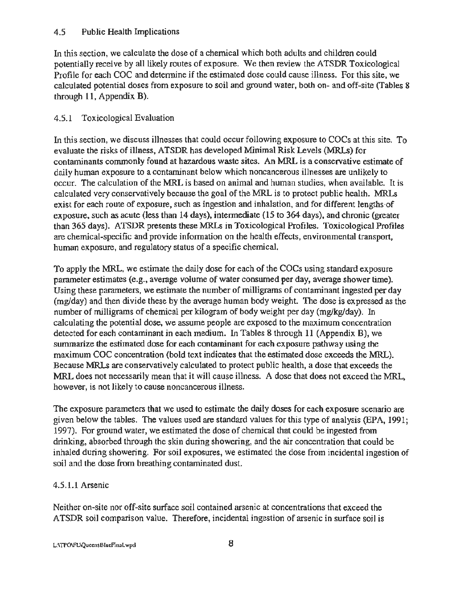#### 4.5 Public Health Implications

In this section, we calculate the dose of a chemical which both adults and children could potentially receive by all likely routes of exposure. We then review the ATSDR Toxicological Profile for each COC and determine if the estimated dose could cause illness. For this site, we calculated potential doses from exposure to soil and ground water, both on- and off-site (Tables 8 through 11, Appendix B).

# 4.5.1 Toxicological Evaluation

In this section, we discuss illnesses that could occur following exposure to COCs at this site. To evaluate the risks of illness, ATSDR has developed Minimal Risk Levels (MRLs) for contaminants commonly found at hazardous waste sites. An MRL is a conservative estimate of daily human exposure to a contaminant below which noncancerous illnesses are unlikely to occur. The calculation of the MRL is based on animal and human studies, when available. It is calculated very conservatively because the goal of the MRL is to protect public health. MRLs exist for each route of exposure, such as ingestion and inhalation, and for different lengths·of exposure, such as acute (less than 14 days), intermediate (15 to 364 days), and chronic (greater than 365 days). ATSDR presents these MRLs in Toxicological Profiles. Toxicological Profiles are chemical-specific and provide information on the health effects, environmental transport, human exposure, and regulatory status of a specific chemical.

To apply the MRL, we estimate the daily dose for each of the COCs using standard exposure parameter estimates (e.g., average volume of water consumed per day, average shower time). Using these parameters, we estimate the number of milligrams of contaminant ingested per day (mg/day) and then divide these by the average human body weight. The dose is expressed as the number of milligrams of chemical per kilogram of body weight per day (mg/kg/day). In calculating the potential dose, we assume people are exposed to the maximum concentration detected for each contaminant in each medium. In Tables 8 through 11 (Appendix B), we summarize the estimated dose for each contaminant for each exposure pathway using the maximum COC concentration (bold text indicates that the estimated dose exceeds the MRL). Because MRLs are conservatively calculated to protect public health, a dose that exceeds the MRL does not necessarily mean that it will cause illness. A dose that does not exceed the MRL, however, is not likely to cause noncancerous illness.

The exposure parameters that we used to estimate the daily doses for each exposure scenario are given below the tables. The values used are standard values for this type of analysis (EPA, 1991; 1997). For ground water, we estimated the dose of chemical that could be ingested from drinking, absorbed through the skin during showering, and the air concentration that could be inhaled during showering. For soil exposures, we estimated the dose from incidental ingestion of soil and the dose from breathing contaminated dust.

# 4.5.1.1 Arsenic

Neither on-site nor off-site surface soil contained arsenic at concentrations that exceed the ATSDR soil comparison value. Therefore, incidental ingestion of arsenic in surface soil is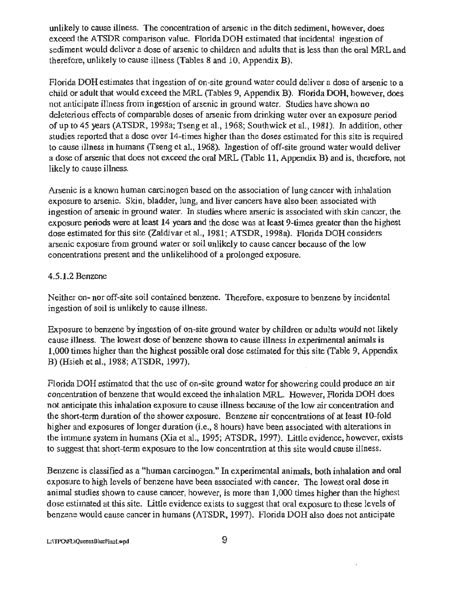unlikely to cause illness. The concentration of arsenic in the ditch sediment, however, does exceed the ATSDR comparison value. Florida DOH estimated that incidental ingestion of sediment would deliver a dose of arsenic to children and adults that is less than the oral MRL and therefore, unlikely to cause illness (Tables 8 and 10, Appendix B).

Florida DOH estimates that ingestion of on-site ground water could deliver a dose of arsenic to a child or adult that would exceed the MRL (fables 9, Appendix B). Florida DOH, however, does not anticipate illness from ingestion of arsenic in ground water. Studies have shown no deleterious effects of comparable doses of arsenic from drinking water over an exposure period of up to 45 years (ATSDR, 1998a; Tseng et al., 1968; Southwick et al., 1981). In addition, other studies reported that a dose over 14-times higher than the doses estimated for this site is required to cause illness in humans (Tseng et al., 1968). Ingestion of off-site ground water would deliver a dose of arsenic that does not exceed the oral MRL (Table 11, Appendix B) and is, therefore, not likely to cause illness.

Arsenic is a known human carcinogen based on the association of lung cancer with inhalation exposure to arsenic. Skin, bladder, lung, and liver cancers have also been associated with ingestion of arsenic in ground water. In studies where arsenic is associated with skin cancer, the exposure periods were at least 14 years and the dose was at least 9-times greater than the highest dose estimated for this site (Zaldivar et al., 1981; ATSDR, 1998a). Florida DOH considers arsenic exposure from ground water or soil unlikely to cause cancer because of the low concentrations present and the unlikelihood of a prolonged exposure.

#### 4.5.1.2 Benzene

Neither on- nor off-site soil contained benzene. Therefore, exposure to benzene by incidental ingestion of soil is unlikely to cause illness.

Exposure to benzene by ingestion of on-site ground water by children or adults would not likely cause illness. The lowest dose of benzene shown to cause illness in experimental animals is 1,000 times higher than the highest possible oral dose estimated for this site (Table 9, Appendix B) (Hsieh et al., 1988; ATSDR, 1997).

Florida DOH estimated that the use of on-site ground water for showering could produce an air concentration of benzene that would exceed the inhalation MRL. However, Florida DOH does not anticipate this inhalation exposure to cause illness because of the low air concentration and the short-term duration of the shower exposure. Benzene air concentrations of at least 10-fold higher and exposures of longer duration (i.e., 8 hours) have been associated with alterations in the immune system in humans (Xia et al., 1995; ATSDR, 1997). Little evidence, however, exists to suggest that short-term exposure to the low concentration at this site would cause illness.

Benzene is classified as a "human carcinogen." In experimental animals, both inhalation and oral exposure to high levels of benzene have been associated with cancer. The lowest oral dose in animal studies shown to cause cancer, however, is more than 1,000 times higher than the highest dose estimated at this site. Little evidence exists to suggest that oral exposure to these levels of benzene would cause cancer in humans (ATSDR, 1997). Florida DOH also does not anticipate

L:\TPO\FL\QueeasBlueFinal.wpd 9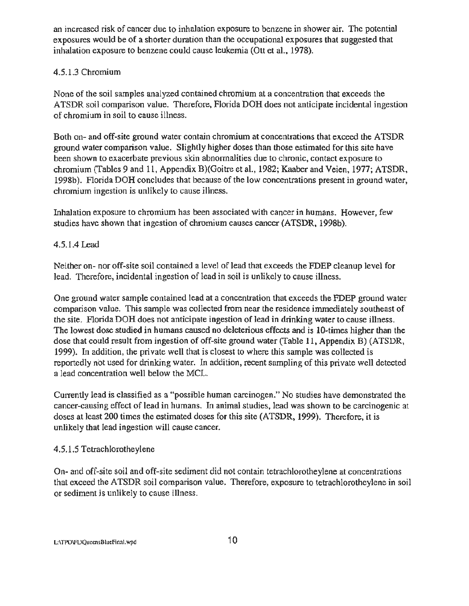an increased risk of cancer due to inhalation exposure to benzene in shower air. The potential exposures would be of a shorter duration than the occupational exposures that suggested that inhalation exposure to benzene could cause leukemia (Ott et al., 1978).

# 4.5.1.3 Chromium

None of the soil samples analyzed contained chromium at a concentration that exceeds the ATSDR soil comparison value. Therefore, Florida DOH does not anticipate incidental ingestion of chromium in soil to cause illness.

Both on- and off-site ground water contain chromium at concentrations that exceed the ATSDR ground water comparison value. Slightly higher doses than those estimated for this site have been shown to exacerbate previous skin abnormalities due to chronic, contact exposure to chromium (Tables 9 and 11, Appendix B)(Goitre et al., 1982; Kaaber and Veien, 1977; ATSDR, 1998b). Florida DOH concludes that because of the low concentrations present in ground water, chromium ingestion is unlikely to cause illness.

Inhalation exposure to chromium has been associated with cancer in humans. However, few studies have shown that ingestion of chromium causes cancer (ATSDR, 1998b).

# 4.5.1.4 Lead

Neither on- nor off-site soil contained a level of lead that exceeds the FDEP cleanup level for lead. Therefore, incidental ingestion of lead in soil is unlikely to cause illness.

One ground water sample contained lead at a concentration that exceeds the FDEP ground water comparison value. This sample was collected from near the residence immediately southeast of the site. Florida DOH does not anticipate ingestion of lead in drinking water to cause illness. The lowest dose studied in humans caused no deleterious effects and is 10-times higher than the dose that could result from ingestion of off-site ground water (Table 11, Appendix B) (ATSDR, . 1999). In addition, the private well that is closest to where this sample was collected is reportedly not used for drinking water. In addition, recent sampling of this private well detected a lead concentration well below the MCL.

Currently lead is classified as a "possible human carcinogen." No studies have demonstrated the cancer-causing effect of lead in humans. In animal studies, lead was shown to be carcinogenic at doses at least 200 times the estimated doses for this site (ATSDR, 1999). Therefore, it is unlikely that lead ingestion will cause cancer.

# 4.5 .1.5 Tetrachlorotheylene

On- and off-site soil and off-site sediment did not contain tetrachlorotheylene at concentrations that exceed the ATSDR soil comparison value. Therefore, exposure to tetrachlorotheylene in soil or sediment is unlikely to cause illness.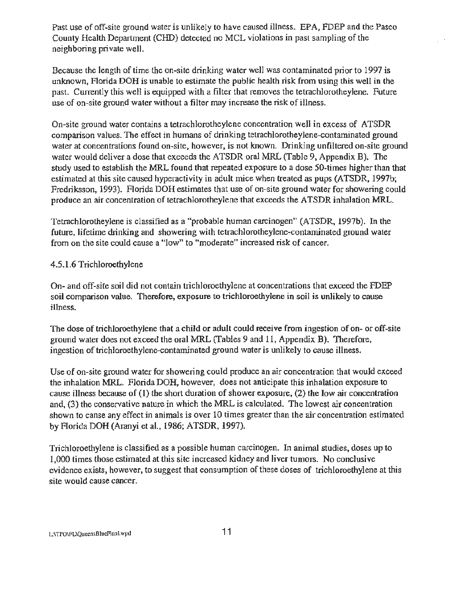Past use of off-site ground water is unlikely to have caused illness. EPA, FDEP and the Pasco County Health Department (CfiD) detected no MCL violations in past sampling of the neighboring private well.

Because the length of time the on-site drinking water well was contaminated prior to 1997 is unknown, Florida DOH is unable to estimate the public health risk from using this well in the past. Currently this well is equipped with a filter that removes the tetrachlorotheylene. Future use of on-site ground water without a filter may increase the risk of illness.

On-site ground water contains a tetrachlorotheylene concentration well in excess of ATSDR comparison values. The effect in humans of drinking tetrach]orotheylene-contaminated ground water at concentrations found on-site, however, is not known. Drinking unfiltered on-site ground water would deliver a dose that exceeds the ATSDR oral MRL (Table 9, Appendix B). The study used to establish the MRL found that repeated exposure to a dose 50-times higher than that estimated at this site caused hyperactivity in adult mice when treated as pups (ATSDR, 1997b; Fredriksson, 1993). Florida DOH estimates that use of on-site ground water for showering could produce an air concentration of tetrachlorotheylene that exceeds the ATSDR inhalation MRL.

Tetrachlorotheylene is classified as a "probable human carcinogen" (ATSDR, 1997b). In the future, lifetime drinking and showering with tetrachlorotheylene-contaminated ground water from on the site could cause a "low" to "moderate" increased risk of cancer.

#### 4.5.1.6 Trichloroethylene

On- and off-sire soil did not contain trichloroethylene at concentrations that exceed the FDEP soil comparison value. Therefore, exposure to trichloroethylene in soil is unlikely to cause illness.

The dose of trichloroethylene that a child or adult could receive from ingestion of on- or off-site ground water does not exceed the oral MRL (Tables 9 and 11, Appendix B). Therefore, ingestion of trichloroethylene-contaminated ground water is unlikely to cause illness.

Use of on-site ground water for showering could produce an air concentration that would exceed the inhalation MRL. Florida DOH, however, does not anticipate this inhalation exposure to cause illness because of (1) the short duration of shower exposure, (2) the low air concentration and, (3) the conservative nature in which the MRL is calculated. The lowest air concentration shown to canse any effect in animals is over 10 times greater than the air concentration estimated by Florida DOH (Aranyi et al., 1986; ATSDR, 1997).

Trichloroethylene is classified as a possible human carcinogen. In animal studies, doses up to 1,000 times those estimated at this site increased kidney and liver tumors. No conclusive evidence exists, however, to suggest that consumption of these doses of trichloroethylene at this site would cause cancer.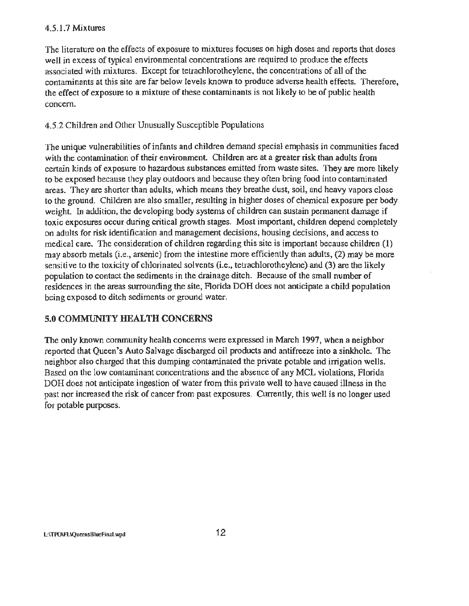#### 4.5.1.7 Mixtures

The literature on the effects of exposure to mixtures focuses on high doses and reports that doses well in excess of typical environmental concentrations are required to produce the effects associated with mixtures. Except for tetrachlorotheylene, the concentrations of all of the contaminants at this site are far below levels known to produce adverse health effects. Therefore, the effect of exposure to a mixture of these contaminants is not likely to be of public health concern.

# 4.5.2 Children and Other Unusually Susceptible Populations

The unique vulnerabilities of infants and children demand special emphasis in communities faced with the contamination of their environment. Children are at a greater risk than adults from certain kinds of exposure to hazardous substances emitted from waste sites. They are more likely to be exposed because they play outdoors and because they often bring food into contaminated areas. They are shorter than adults, which means they breathe dust, soil, and heavy vapors close to the ground. Children are also smaller, resulting in higher doses of chemical exposure per body weight. In addition, the developing body systems of children can sustain permanent damage if toxic exposures occur during critical growth stages. Most important, children depend completely on adults for risk identification and management decisions, housing decisions, and access to medical care. The consideration of children regarding this site is important because children (1) may absorb metals (i.e., arsenic) from the intestine more efficiently than adults, (2) may be more sensitive to the toxicity of chlorinated solvents (i.e., tetrachlorotheylene) and (3) are the likely population to contact the sediments in the drainage ditch. Because of the small number of residences in the areas surrounding the site, Florida DOH does not anticipate a child population being exposed to ditch sediments or ground water.

# 5.0 COMMUNITY HEALTH CONCERNS

The only known community health concerns were expressed in March 1997, when a neighbor reported that Queen's Auto Salvage discharged oil products and antifreeze into a sinkhole. The neighbor also charged that this dumping contaminated the private potable and irrigation wells. Based on the low contaminant concentrations and the absence of any MCL violations, Florida DOH does not anticipate ingestion of water from this private well to have caused illness in the past nor increased the risk of cancer from past exposures. Currently, this well is no longer used for potable purposes.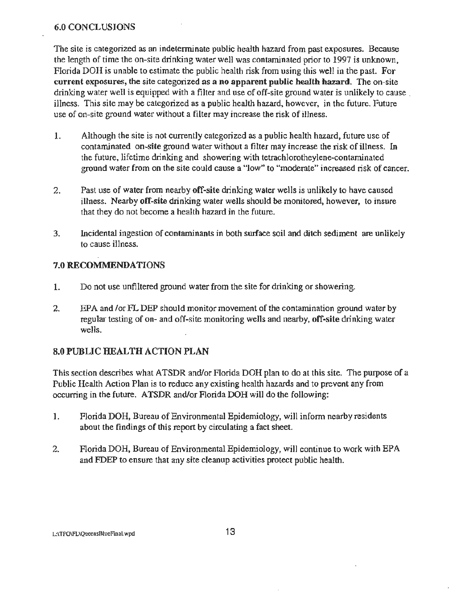#### 6.0 CONCLUSIONS

The site is categorized as an indeterminate public health hazard from past exposures. Because the length of time the on-site drinking water well was contaminated prior to 1997 is unknown, Florida DOH is unable to estimate the public health risk from using this well in the past. For current exposures, the site categorized as a no apparent public health hazard. The on-site drinking water well is equipped with a filter and use of off-site ground water is unlikely to cause illness. This site may be categorized as a public health hazard, however, in the future. Future use of on-site ground water without a filter may increase the risk of illness.

- 1. Although the site is not currently categorized as a public health hazard, future use of contaminated on-site ground water without a filter may increase the risk of illness. In the future, lifetime drinking and showering with tetrachlorotheylene-contaminated ground water from on the site could cause a "low" to "moderate" increased risk of cancer.
- 2. Past use of water from nearby off-site drinking water wells is unlikely to have caused illness. Nearby off-site drinking water wells should be monitored, however, to insure that they do not become a health hazard in the future.
- 3. Incidental ingestion of contaminants in both surface soil and ditch sediment are unlikely to cause illness.

# 7.0 RECOMMENDATIONS

- 1. Do not use unfiltered ground water from the site for drinking or showering.
- 2. EPA and /or FL DEP should monitor movement of the contamination ground water by regular testing of on- and off-site monitoring wells and nearby, off-site drinking water wells.

# 8.0 PUBLIC HEALTH ACTION PLAN

'This section describes what ATSDR and/or Florida DOH plan to do at this site. The purpose of a Public Health Action Plan is to reduce any existing health hazards and to prevent any from occurring in the future. ATSDR and/or Florida DOH will do the following:

- 1. Florida DOH, Bureau of Environmental Epidemiology, will inform nearby residents about the findings of this report by circulating a fact sheet.
- 2. Florida DOH, Bureau of Environmental Epidemiology, will continue to work with EPA and FDEP to ensure that any site cleanup activities protect public health.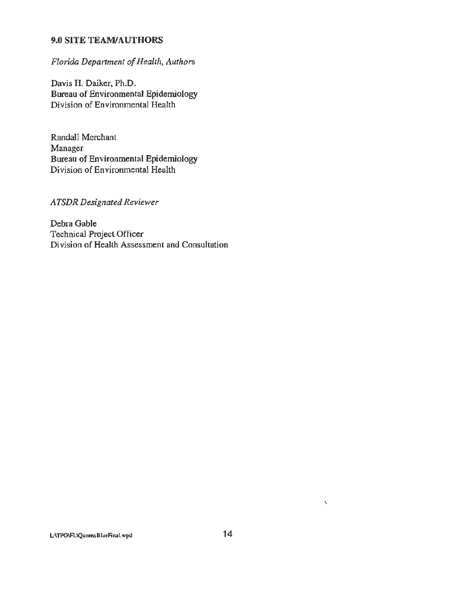## 9.0 SITE TEAM/AUTHORS

# *Florida Department of-Health, Authors*

Davis H. Daiker, Ph.D. Bureau of Environmental Epidemiology Division of Environmental Health

Randall Merchant Manager Bureau of Environmental Epidemiology Division of Environmental Health

*ATSDR Designated Reviewer* 

Debra Gable Technical Project Officer Division of Health Assessment and Consultation

 $\bar{\mathbf{v}}$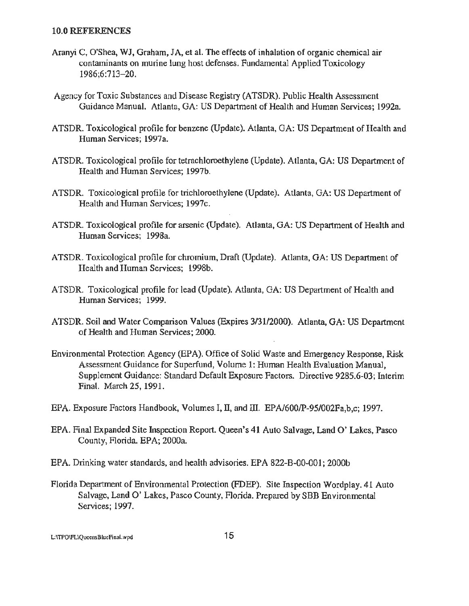#### 10.0 REFERENCES

- Aranyi C, O'Shea, WJ, Graham, JA, et al. The effects of inhalation of organic chemical air contaminants on murine lung host defenses. Fundamental Applied Toxicology 1986;6:713-20.
- Agency for Toxic Substances and Disease Registry (ATSDR). Public Health Assessment Guidance Manual. Atlanta, GA: US Department of Health and Human Services; 1992a.
- ATSDR. Toxicological proftle for benzene (Update). Atlanta, GA: US Department of Health and Human Services; 1997a.
- ATSDR. Toxicological profile for tetrachloroethylene (Update). Atlanta, GA: US Department of Health and Human Services; 1997b.
- ATSDR. Toxicological profile for trichloroethylene (Update). Atlanta, GA: US Department of Health and Human Services; 1997c.
- ATSDR. Toxicological profile for arsenic (Update). Atlanta, GA: US Department of Health and Human Services; 1998a.
- ATSDR. Toxicological profile for chromium, Draft (Update). Atlanta, GA: US Department of Health and Human Services; 1998b.
- ATSDR. Toxicological profile for lead (Update). Atlanta, GA: US Department of Health and Human Services; 1999.
- ATSDR. Soil and Water Comparison Values (Expires 3/3112000). Atlanta, GA: US Department of Health and Human Services; 2000.
- Environmental Protection Agency (EPA). Office of Solid Waste and Emergency Response, Risk Assessment Guidance for Superfund, Volume 1: Human Health Evaluation Manual, Supplement Guidance: Standard Default Exposure Factors. Directive 9285.6-03; Interim Final. March 25, 1991.
- EPA. Exposure Factors Handbook, Volumes I, II, and III. EPA/600/P-95/002Fa,b,c; 1997.
- EPA. Final Expanded Site Inspection Report. Queen's 41 Auto Salvage, Land 0' Lakes, Pasco County, Florida. EPA; 2000a.
- EPA. Drinking water standards, and health advisories. EPA 822-B-00-001; 2000b
- Florida Department of Environmental Protection (FDEP). Site Inspection Wordplay. 41 Auto Salvage, Land 0' Lakes, Pasco County, Florida. Prepared by SBB Environmental Services; 1997.

L:\TPO\FL\QueensBlueFinal.wpd 15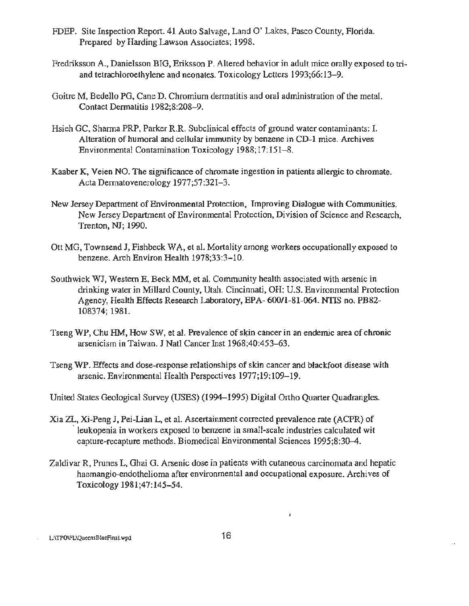- FDEP. Site Inspection Report. 41 Auto Salvage, Land 0' Lakes, Pasco County, Florida. Prepared by Harding Lawson Associates; 1998.
- Fredriksson A., Danielsson BIG, Eriksson P. Altered behavior in adult mice orally exposed to triand tetrachloroethylene and neonates. Toxicology Letters 1993;66:13-9.
- Goitre M, Bedello PG, Cane D. Chromium dermatitis and oral administration of the metal. Contact Dermatitis 1982;8:208-9.
- Hsieh GC, Sharma PRP, Parker R.R. Subclinical effects of ground water contaminants: I. Alteration of humoral and cellular immunity by benzene in CD-1 mice. Archives Environmental Contamination Toxicology 1988;17:151-8.
- Kaaber K, Veien NO. The signjficance of chromate ingestion in patients allergic to chromate. Acta Dermatovenerology 1977;57:321-3.
- New Jersey Department of Environmental Protection, Improving Dialogue with Communities. New Jersey Department of Environmental Protection, Division of Science and Research, Trenton, NJ; 1990.
- Ott MG, Townsend J, Fishbeck WA, et al. Mortality among workers occupationally exposed to benzene. Arch Environ Health 1978;33:3-10.
- Southwick WJ, Western E, Beck MM, et al. Community health associated with arsenic in drinking water in Millard County, Utah. Cincinnati, OH: U.S. Environmental Protection Agency, Health Effects Research Laboratory, EPA- 600/1-81-064. NTIS no. PB82- 108374; 1981.
- Tseng WP, Chu HM, How SW, et al. Prevalence of skin cancer in an endemic area of chronic arsenicism in Taiwan. J Natl Cancer Inst 1968;40:453-63.
- Tseng WP. Effects and dose-response relationships of skin cancer and blackfoot disease with arsenic. Environmental Health Perspectives 1977;19:109-19.
- United States Geological Survey (USES) (1994-1995) Digital Ortho Quarter Quadrangles.
- Xi a ZL, Xi-Peng J, Pei-Lian L, et al. Ascertainment corrected prevalence rate (ACPR) of leukopenia in workers exposed to benzene in small-scale industries calculated wit capture-recapture methods. Biomedical Environmental Sciences 1995;8:30-4.
- Zaldivar R, Prunes L, Ghai G. Arsenic dose in patients with cutaneous carcinomata and hepatic haemangio-endothelioma after environmental and occupational exposure. Archives of Toxicology 1981;47:145-54.

L:\TPO\FL\QuccnsBlueFinal.wpd 16

 $\bar{1}$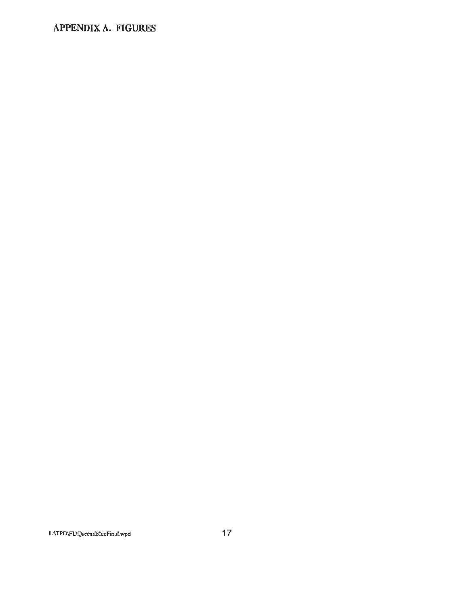# **APPENDIX A. FIGURES**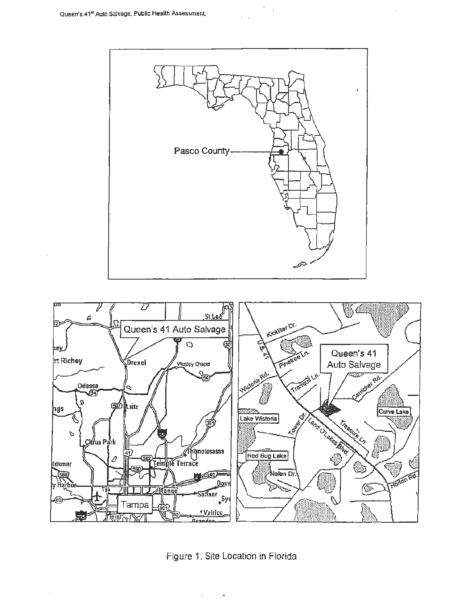



Figure 1. Site Location in Florida

 $\bullet$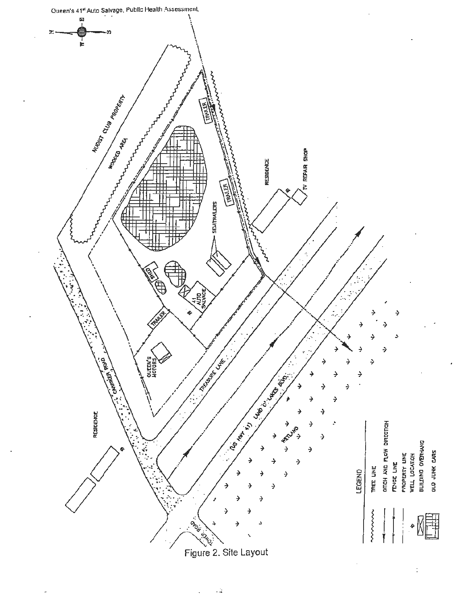

ت.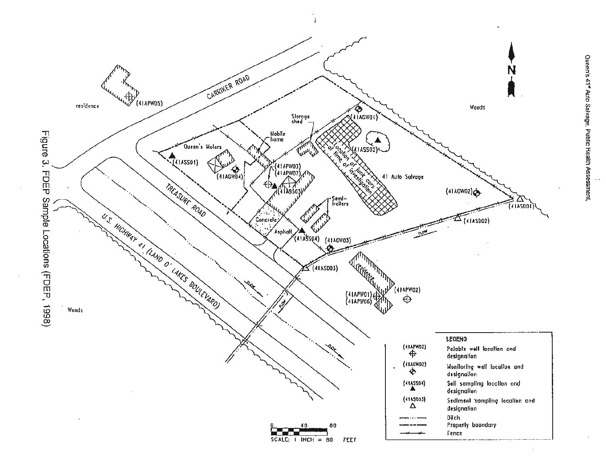

 $\sim$   $\epsilon$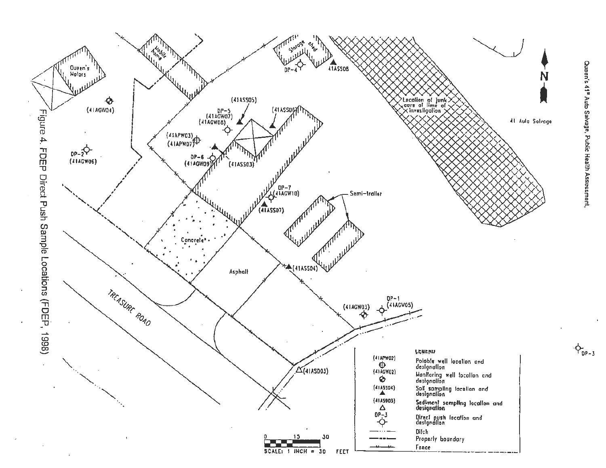

 $\Phi_{\text{DP-3}}$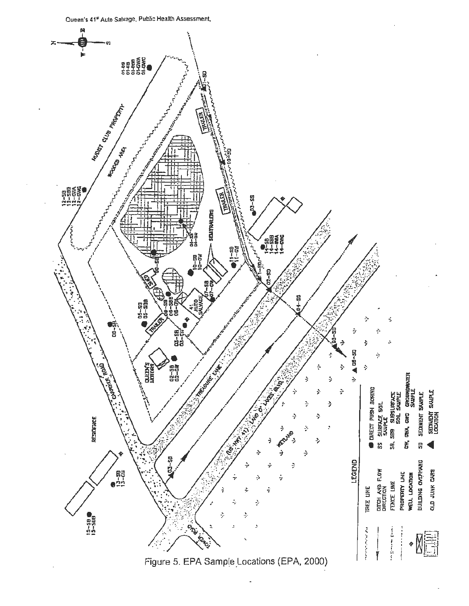

Figure 5. EPA Sample Locations (EPA, 2000)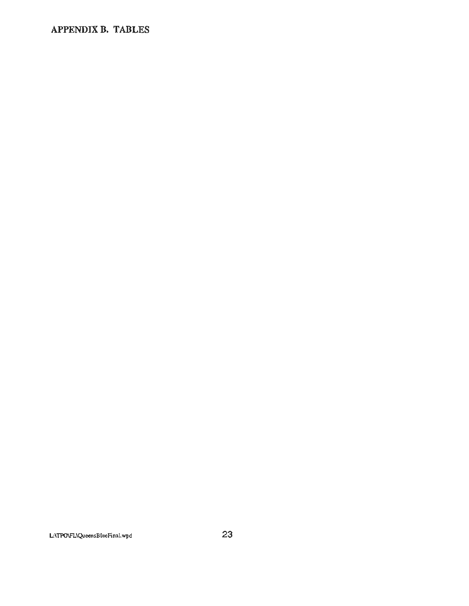# **APPENDIX B. TABLES**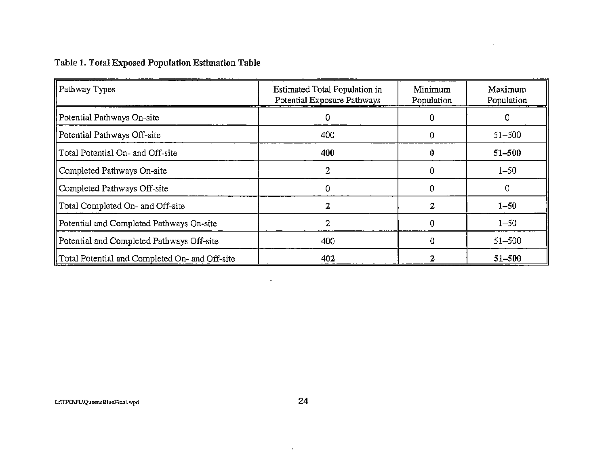# Table 1. Total Exposed Population Estimation Table

| Pathway Types                                  | Estimated Total Population in<br>Potential Exposure Pathways | Minimum<br>Population | Maximum<br>Population |
|------------------------------------------------|--------------------------------------------------------------|-----------------------|-----------------------|
| Potential Pathways On-site                     | 0                                                            | 0                     | 0                     |
| Potential Pathways Off-site                    | 400                                                          |                       | $51 - 500$            |
| Total Potential On- and Off-site               | 400                                                          |                       | $51 - 500$            |
| Completed Pathways On-site                     |                                                              |                       | $1 - 50$              |
| Completed Pathways Off-site                    | 0                                                            | O                     | 0                     |
| Total Completed On- and Off-site               |                                                              |                       | $1 - 50$              |
| Potential and Completed Pathways On-site       |                                                              |                       | $1 - 50$              |
| Potential and Completed Pathways Off-site      | 400                                                          |                       | $51 - 500$            |
| Total Potential and Completed On- and Off-site | 402                                                          |                       | $51 - 500$            |

 $\sim 10^{-1}$ 

 $\sim 10^{-10}$ 

 $\alpha$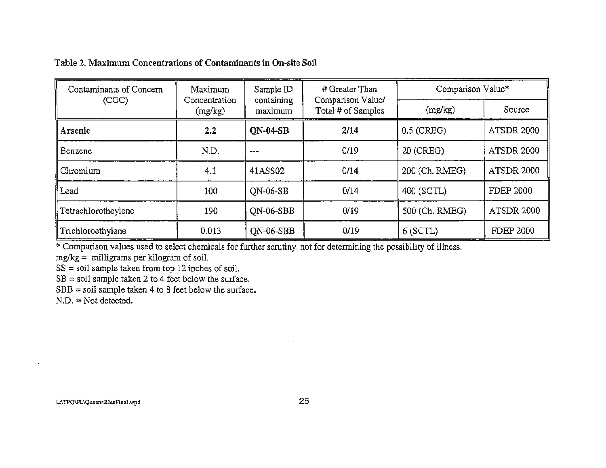# Table 2. Maximum Concentrations of Contaminants in On-site Soil

| Contaminants of Concern | Maximum | Sample ID                                                    | # Greater Than<br>Comparison Value/ | Comparison Value* |                   |  |
|-------------------------|---------|--------------------------------------------------------------|-------------------------------------|-------------------|-------------------|--|
| (COC)                   | (mg/kg) | containing<br>Concentration<br>Total # of Samples<br>maximum |                                     | (mg/kg)           | Source            |  |
| Arsenic                 | 2.2     | <b>ON-04-SB</b>                                              | 2/14                                | $0.5$ (CREG)      | <b>ATSDR 2000</b> |  |
| Benzene                 | N.D.    | ---                                                          | 0/19                                | 20 (CREG)         |                   |  |
| Chromium                | 4.1     | 41ASS02                                                      | 0/14                                | 200 (Ch. RMEG)    | <b>ATSDR 2000</b> |  |
| Lead                    | 100     | <b>ON-06-SB</b>                                              | 0/14                                | 400 (SCTL)        | <b>FDEP 2000</b>  |  |
| Tetrachlorotheylene     | 190     | QN-06-SBB                                                    | 0/19                                | 500 (Ch. RMEG)    | <b>ATSDR 2000</b> |  |
| Trichloroethylene       | 0.013   | QN-06-SBB                                                    | 0/19                                | $6$ (SCTL)        | <b>FDEP 2000</b>  |  |

\*Comparison values used to select chemicals for further scrutiny, not for determining the possibility of illness.

 $mg/kg =$  milligrams per kilogram of soil.

 $SS =$ soil sample taken from top 12 inches of soil.

 $SB = soil sample taken 2 to 4 feet below the surface.$ 

 $SBB = soil sample taken 4 to 8 feet below the surface.$ 

 $N.D. = Not detected.$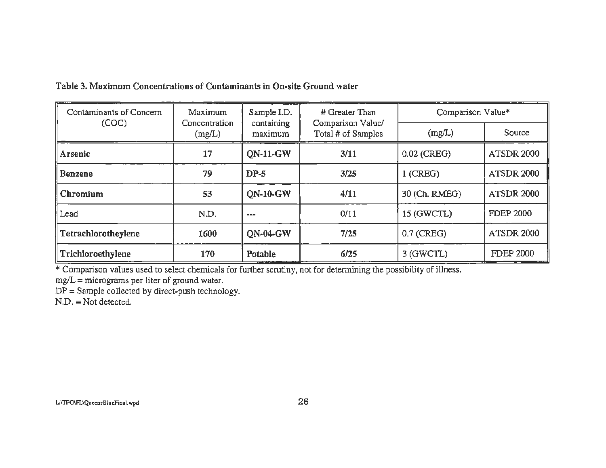Table 3. Maximum Concentrations of Contaminants in On-site Ground water

| Contaminants of Concern | <b>Maximum</b>          | Sample I.D.           | # Greater Than                          | Comparison Value* |                   |  |
|-------------------------|-------------------------|-----------------------|-----------------------------------------|-------------------|-------------------|--|
| (COC)                   | Concentration<br>(mg/L) | containing<br>maximum | Comparison Value/<br>Total # of Samples | (mg/L)            | Source            |  |
| Arsenic                 | 17                      | <b>QN-11-GW</b>       | 3/11                                    | $0.02$ (CREG)     | <b>ATSDR 2000</b> |  |
| Benzene                 | 79                      | $DP-5$                | 3/25                                    | $1$ (CREG)        | <b>ATSDR 2000</b> |  |
| l Chromium              | 53                      | <b>QN-10-GW</b>       | 4/11                                    | 30 (Ch. RMEG)     | <b>ATSDR 2000</b> |  |
| Lead                    | N.D.                    | ---                   | 0/11                                    | 15 (GWCTL)        | <b>FDEP 2000</b>  |  |
| Tetrachlorotheylene     | 1600                    | <b>ON-04-GW</b>       | 7/25                                    | $0.7$ (CREG)      | <b>ATSDR 2000</b> |  |
| Trichloroethylene       | 170                     | Potable               | 6/25                                    | 3 (GWCTL)         | <b>FDEP 2000</b>  |  |

\* Comparison values used to select chemicals for further scrutiny, not for determining the possibility of illness.

 $mg/L =$  micrograms per liter of ground water.

 $DP =$  Sample collected by direct-push technology.

 $N.D. = Not detected.$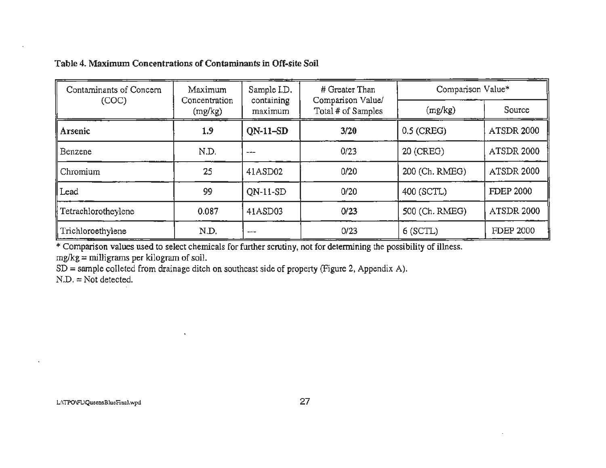# Table 4. Maximum Concentrations of Contaminants in Off-site Soil

 $\tilde{\textbf{a}}$ 

| Contaminants of Concern | Maximum | Sample I.D.                                                                       | # Greater Than         | Comparison Value* |                   |  |
|-------------------------|---------|-----------------------------------------------------------------------------------|------------------------|-------------------|-------------------|--|
| (COC)                   | (mg/kg) | Comparison Value/<br>containing<br>Concentration<br>Total # of Samples<br>maximum |                        | (mg/kg)           | Source            |  |
| Arsenic                 | 1.9     | $ON-11-SD$                                                                        | 3/20                   | $0.5$ (CREG)      | <b>ATSDR 2000</b> |  |
| Benzene                 | N.D.    | $- - -$                                                                           | 0/23                   | 20 (CREG)         | <b>ATSDR 2000</b> |  |
| Chromium                | 25      | 41ASD02                                                                           | 0/20                   | 200 (Ch. RMEG)    | <b>ATSDR 2000</b> |  |
| Lead                    | 99      | $ON-11-SD$                                                                        | 0/20                   | 400 (SCTL)        |                   |  |
| Tetrachlorotheylene     | 0.087   | 41ASD03                                                                           | 500 (Ch. RMEG)<br>0/23 |                   | <b>ATSDR 2000</b> |  |
| Trichloroethylene       | N.D.    | ---                                                                               | 0/23                   | $6$ (SCTL)        | <b>FDEP 2000</b>  |  |

\* Comparison values used to select chemicals for further scrutiny, not for detennining the possibility of illness.  $mg/kg =$  milligrams per kilogram of soil.

SD = sample colleted from drainage ditch on southeast side of property (Figure 2, Appendix A).

 $N.D. = Not detected.$ 

 $\mathbf{r}$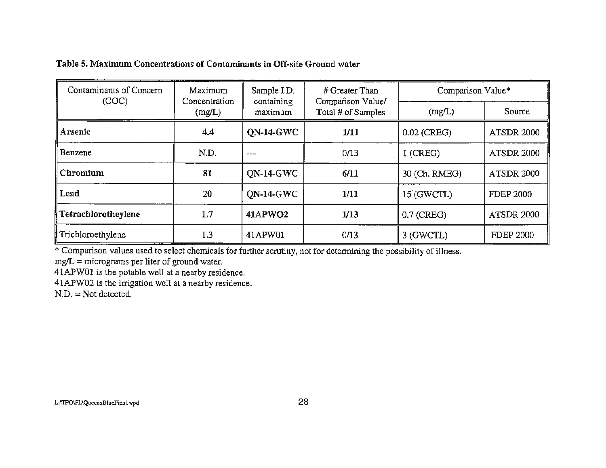Table 5. Maximum Concentrations of Contaminants in Off-site Ground water

| Contaminants of Concern | Maximum<br>Concentration | Sample I.D.           | # Greater Than                          | Comparison Value*                  |                   |  |
|-------------------------|--------------------------|-----------------------|-----------------------------------------|------------------------------------|-------------------|--|
| (COC)                   | (mg/L)                   | containing<br>maximum | Comparison Value/<br>Total # of Samples | (mg/L)                             | Source            |  |
| Arsenic                 | 4.4                      | ON-14-GWC             | 1/11                                    | $0.02$ (CREG)<br><b>ATSDR 2000</b> |                   |  |
| Benzene                 | N.D.                     | ---                   | 0/13                                    | $1$ (CREG)                         | <b>ATSDR 2000</b> |  |
| Chromium                | 81                       | <b>ON-14-GWC</b>      | 6/11                                    | 30 (Ch. RMEG)                      | <b>ATSDR 2000</b> |  |
| Lead                    | 20                       | <b>ON-14-GWC</b>      | 1/11                                    | 15 (GWCTL)                         | <b>FDEP 2000</b>  |  |
| Tetrachlorotheylene     | 1.7<br>41APWO2           |                       | 1/13                                    | $0.7$ (CREG)                       | <b>ATSDR 2000</b> |  |
| Trichloroethylene       | 1.3                      | 41APW01               | 0/13                                    | 3 (GWCTL)                          | <b>FDEP 2000</b>  |  |

\* Comparison values used to select chemicals for further scrutiny, not for determining the possibility of illness.

 $mg/L =$  micrograms per liter of ground water.

41APW01 is the potable well at a nearby residence.

41APW02 is the irrigation well at a nearby residence.

 $N.D. = Not detected.$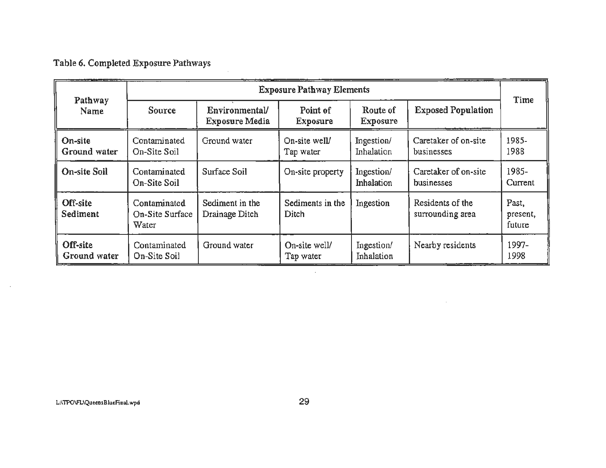Table 6. Completed Exposure Pathways

|                             | <b>Exposure Pathway Elements</b>         |                                         |                                                                                |                                 |                                    |                  |  |  |
|-----------------------------|------------------------------------------|-----------------------------------------|--------------------------------------------------------------------------------|---------------------------------|------------------------------------|------------------|--|--|
| Pathway<br>Name             | <b>Source</b>                            | Environmental/<br><b>Exposure Media</b> | Point of<br><b>Exposure</b>                                                    | Route of<br><b>Exposure</b>     | <b>Exposed Population</b>          | Time             |  |  |
| On-site<br>Ground water     | Contaminated<br>On-Site Soil             | Ground water                            | On-site well/<br>Tap water                                                     | Ingestion/<br>Inhalation        | Caretaker of on-site<br>businesses | 1985-<br>1988    |  |  |
| On-site Soil                | Contaminated<br>On-Site Soil             | Surface Soil                            | On-site property                                                               | Ingestion/<br><b>Inhalation</b> | Caretaker of on-site<br>businesses | 1985-<br>Current |  |  |
| Off-site<br><b>Sediment</b> | Contaminated<br>On-Site Surface<br>Water | Sediment in the<br>Drainage Ditch       | Residents of the<br>Sediments in the<br>Ingestion<br>Ditch<br>surrounding area |                                 | Past,<br>present,<br>future        |                  |  |  |
| Off-site<br>Ground water    | Contaminated<br>On-Site Soil             | Ground water                            | On-site well/<br>Tap water                                                     | Ingestion/<br>Inhalation        | Nearby residents                   | 1997-<br>1998    |  |  |

 $\sim$ 

 $\mathcal{L}$ 

 $\sim$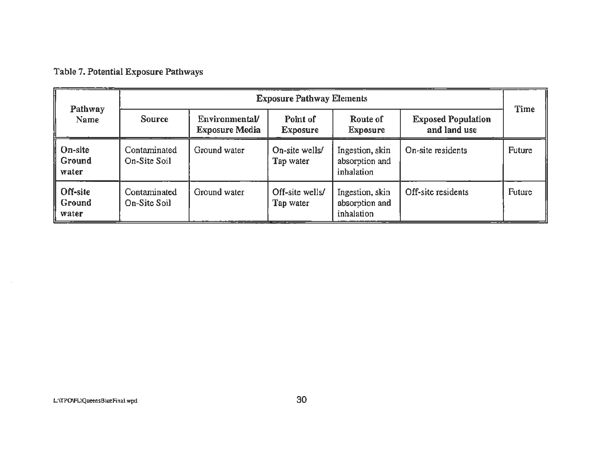# Table 7. Potential Exposure Pathways

| Pathway<br><b>Name</b>      | <b>Exposure Pathway Elements</b> |                                         |                              |                                                 |                                           |               |  |
|-----------------------------|----------------------------------|-----------------------------------------|------------------------------|-------------------------------------------------|-------------------------------------------|---------------|--|
|                             | <b>Source</b>                    | Environmental/<br><b>Exposure Media</b> | Point of<br><b>Exposure</b>  | Route of<br><b>Exposure</b>                     | <b>Exposed Population</b><br>and land use | Time          |  |
| On-site<br>Ground<br>water  | Contaminated<br>On-Site Soil     | Ground water                            | On-site wells/<br>Tap water  | Ingestion, skin<br>absorption and<br>inhalation | On-site residents                         | <b>Future</b> |  |
| Off-site<br>Ground<br>water | Contaminated<br>On-Site Soil     | Ground water                            | Off-site wells/<br>Tap water | Ingestion, skin<br>absorption and<br>inhalation | Off-site residents                        | <b>Future</b> |  |

 $\sim 10^6$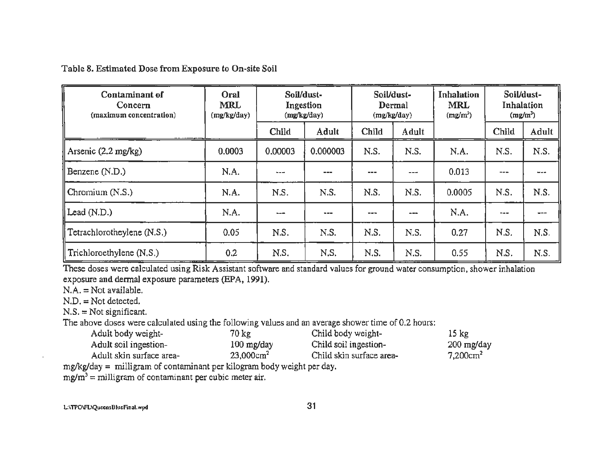Table 8. Estimated Dose from Exposure to On-site Soil

| Contaminant of<br>Concern<br>(maximum concentration) | Oral<br><b>MRL</b><br>(mg/kg/day) | Soil/dust-<br>Ingestion<br>(mg/kg/day) |          | Soil/dust-<br>Dermal<br>(mg/kg/day) |           | Inhalation<br><b>MRL</b><br>$(mg/m^3)$ | Soil/dust-<br>Inhalation<br>(mg/m <sup>3</sup> ) |       |
|------------------------------------------------------|-----------------------------------|----------------------------------------|----------|-------------------------------------|-----------|----------------------------------------|--------------------------------------------------|-------|
|                                                      |                                   | Child                                  | Adult    | Child                               | Adult     |                                        | Child                                            | Adult |
| Arsenic $(2.2 \text{ mg/kg})$                        | 0.0003                            | 0.00003                                | 0.000003 | N.S.                                | N.S.      | N.A.                                   | N.S.                                             | N.S.  |
| Benzene (N.D.)                                       | N.A.                              | $\sim$ $ -$                            | ---      | ---                                 | ---       | 0.013                                  | ---                                              | ---   |
| Chromium (N.S.)                                      | N.A.                              | N.S.                                   | N.S.     | N.S.                                | N.S.      | 0.0005                                 | N.S.                                             | N.S.  |
| $\parallel$ Lead (N.D.)                              | N.A.                              | ---                                    | ---      | ---                                 | $\sim -1$ | N.A.                                   | ---                                              |       |
| $\parallel$ Tetrachlorotheylene (N.S.)               | 0.05                              | N.S.                                   | N.S.     | N.S.                                | N.S.      | 0.27                                   | N.S.                                             | N.S.  |
| Trichloroethylene (N.S.)                             | 0.2                               | N.S.                                   | N.S.     | N.S.                                | N.S.      | 0.55                                   | N.S.                                             | N.S.  |

These doses were calculated using Risk Assistant software and standard values for ground water consumption, shower inhalation exposure and dermal exposure parameters (EPA, 1991).

 $N.A. = Not available.$ 

 $N.D. = Not detected.$ 

 $N.S. = Not significant.$ 

The above doses were calculated using the following values and an average shower time of 0.2 hours:

| Adult body weight-       | 70 kg.               | Child body weight-       | $15 \text{ kg}$         |
|--------------------------|----------------------|--------------------------|-------------------------|
| Adult soil ingestion-    | $100 \text{ mg/day}$ | Child soil ingestion-    | 200 mg/day              |
| Adult skin surface area- | $23,000 \text{cm}^2$ | Child skin surface area- | $7,200$ cm <sup>2</sup> |

mg/kg/day = milligram of contaminant per kilogram body weight per day.

 $mg/m^3$  = milligram of contaminant per cubic meter air.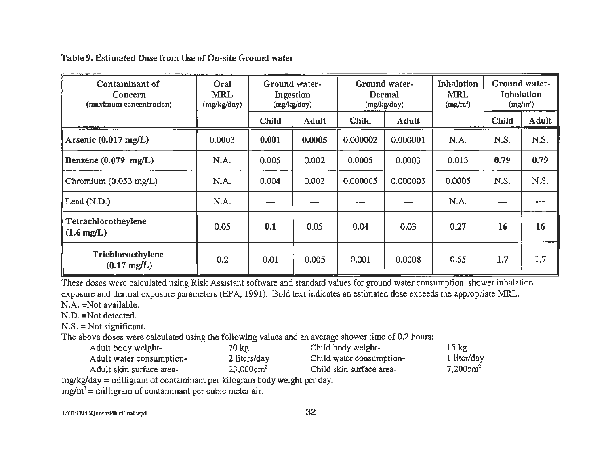Table 9. Estimated Dose from Use of On-site Ground water

| Contaminant of<br>Concern<br>(maximum concentration) | Oral<br><b>MRL</b><br>(mg/kg/day) |              | Ground water-<br>Ground water-<br>Dermal<br>Ingestion<br>(mg/kg/day)<br>(mg/kg/day) |              |          |        |              | Inhalation<br><b>MRL</b><br>(mg/m <sup>3</sup> ) | Ground water-<br>Inhalation<br>$(mg/m^3)$ |  |
|------------------------------------------------------|-----------------------------------|--------------|-------------------------------------------------------------------------------------|--------------|----------|--------|--------------|--------------------------------------------------|-------------------------------------------|--|
|                                                      |                                   | <b>Child</b> | <b>Adult</b>                                                                        | <b>Child</b> | Adult    |        | <b>Child</b> | Adult                                            |                                           |  |
| Arsenic $(0.017 \text{ mg/L})$                       | 0.0003                            | 0.001        | 0.0005                                                                              | 0.000002     | 0.000001 | N.A.   | N.S.         | N.S.                                             |                                           |  |
| Benzene $(0.079 \text{ mg/L})$                       | N.A.                              | 0.005        | 0.002                                                                               | 0.0005       | 0.0003   | 0.013  | 0.79         | 0.79                                             |                                           |  |
| Chromium (0.053 mg/L)                                | N.A.                              | 0.004        | 0.002                                                                               | 0.000005     | 0.000003 | 0.0005 | N.S.         | N.S.                                             |                                           |  |
| Lead (N.D.)                                          | N.A.                              |              |                                                                                     |              |          | N.A.   |              | $m = m$                                          |                                           |  |
| Tetrachlorotheylene<br>$\parallel$ (1.6 mg/L)        | 0.05                              | 0.1          | 0.05                                                                                | 0.04         | 0.03     | 0.27   | 16           | 16                                               |                                           |  |
| Trichloroethylene<br>$(0.17 \text{ mg/L})$           | 0.2                               | 0.01         | 0.005                                                                               | 0.001        | 0.0008   | 0.55   | 1.7          | 1.7                                              |                                           |  |

These doses were calculated using Risk Assistant software and standard values for ground water consumption, shower inhalation exposure and dermal exposure parameters (EPA, 1991). Bold text indicates an estimated dose exceeds the appropriate MRL. N.A. =Not available.

N.D. =Not detected.

N.S. = Not significant.

The above doses were calculated using the following values and an average shower time of 0.2 hours:

| Adult body weight-       | 70 kg                | Child body weight-       | $15 \text{ kg}$         |
|--------------------------|----------------------|--------------------------|-------------------------|
| Adult water consumption- | 2 liters/day         | Child water consumption- | 1 liter/day             |
| Adult skin surface area- | $23,000 \text{cm}^2$ | Child skin surface area- | $7,200$ cm <sup>2</sup> |

mg/kg/day = milligram of contaminant per kilogram body weight per day.

 $mg/m<sup>3</sup>$  = milligram of contaminant per cubic meter air.

L:\TPO\FL\QueeosBiueFinal.wpd 32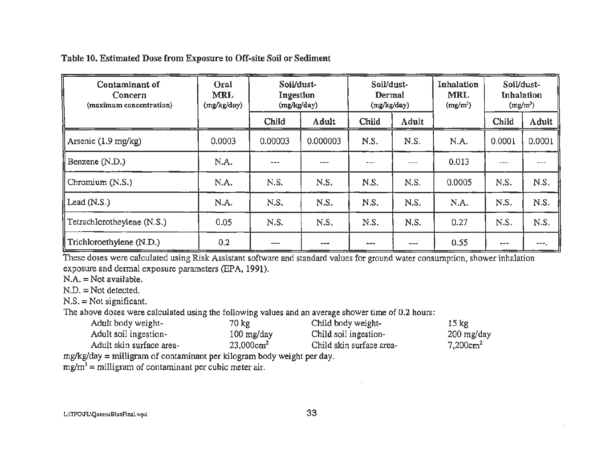Table 10. Estimated Dose from Exposure to Off-site Soil or Sediment

| Contaminant of<br>Concern<br>(maximum concentration) | Oral<br><b>MRL</b><br>(mg/kg/day) | Soil/dust-<br>Ingestion<br>(mg/kg/day) |          | Soil/dust-<br>Dermal<br>(mg/kg/day) |       | Inhalation<br><b>MRL</b><br>$(mg/m^3)$ | Soil/dust-<br>Inhalation<br>$(mg/m^3)$ |        |
|------------------------------------------------------|-----------------------------------|----------------------------------------|----------|-------------------------------------|-------|----------------------------------------|----------------------------------------|--------|
|                                                      |                                   | Child                                  | Adult    | Child                               | Adult |                                        | Child                                  | Adult  |
| Arsenic $(1.9 \text{ mg/kg})$                        | 0.0003                            | 0.00003                                | 0.000003 | N.S.                                | N.S.  | N.A.                                   | 0.0001                                 | 0.0001 |
| Benzene (N.D.)                                       | N.A.                              | ---                                    | ---      | ---                                 | ---   | 0.013                                  | ---                                    |        |
| Chromium (N.S.)                                      | N.A.                              | N.S.                                   | N.S.     | N.S.                                | N.S.  | 0.0005                                 | N.S.                                   | N.S.   |
| $\parallel$ Lead (N.S.)                              | N.A.                              | N.S.                                   | N.S.     | N.S.                                | N.S.  | N.A.                                   | N.S.                                   | N.S.   |
| Tetrachlorotheylene (N.S.)                           | 0.05                              | N.S.                                   | N.S.     | N.S.                                | N.S.  | 0.27                                   | N.S.                                   | N.S.   |
| $\parallel$ Trichloroethylene (N.D.)                 | 0.2                               |                                        | ---      | ---                                 |       | 0.55                                   | $-1$                                   | ---    |

These doses were calculated using Risk Assistant software and standard values for ground water consumption, shower inhalation exposure and dermal exposure parameters (EPA, 1991).

 $N.A. = Not available.$ 

N.D.= Not detected.

 $N.S. = Not significant.$ 

The above doses were calculated using the following values and an average shower time of 0.2 hours:

| Adult body weight-       | 70 kg                | Child body weight-       | 15 <sub>kg</sub> |
|--------------------------|----------------------|--------------------------|------------------|
| Adult soil ingestion-    | $100 \text{ mg/day}$ | Child soil ingestion-    | $200$ mg/day     |
| Adult skin surface area- | $23,000 \text{cm}^2$ | Child skin surface area- | $7,200cm^2$      |

mglkg/day *=* milligram of contaminant per kilogram body weight per day.

 $mg/m<sup>3</sup>$  = milligram of contaminant per cubic meter air.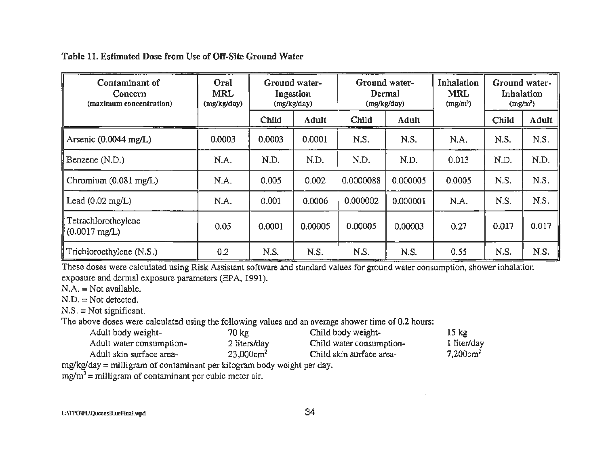Table 11. Estimated Dose from Use of Off-Site Ground Water

| Contaminant of<br>Concern<br>(maximum concentration) | Oral<br><b>MRL</b><br>(mg/kg/day) | Ground water-<br>Ingestion<br>(mg/kg/day) |              | Ground water-<br>Dermal<br>(mg/kg/day) |          | Inhalation<br><b>MRL</b><br>$(mg/m^3)$ | Ground water-<br>Inhalation<br>$(mg/m^3)$ |       |
|------------------------------------------------------|-----------------------------------|-------------------------------------------|--------------|----------------------------------------|----------|----------------------------------------|-------------------------------------------|-------|
|                                                      |                                   | Child                                     | <b>Adult</b> | Child                                  | Adult    |                                        | Child                                     | Adult |
| Arsenic $(0.0044 \text{ mg/L})$                      | 0.0003                            | 0.0003                                    | 0.0001       | N.S.                                   | N.S.     | N.A.                                   | N.S.                                      | N.S.  |
| Benzene (N.D.)                                       | N.A.                              | N.D.                                      | N.D.         | N.D.                                   | N.D.     | 0.013                                  | N.D.                                      | N.D.  |
| Chromium $(0.081 \text{ mg/L})$                      | N.A.                              | 0.005                                     | 0.002        | 0.0000088                              | 0.000005 | 0.0005                                 | N.S.                                      | N.S.  |
| $\text{Leaf}(0.02 \text{ mg/L})$                     | N.A.                              | 0.001                                     | 0.0006       | 0.000002                               | 0.000001 | N.A.                                   | N.S.                                      | N.S.  |
| Tetrachlorotheylene<br>$(0.0017 \text{ mg/L})$       | 0.05                              | 0.0001                                    | 0.00005      | 0.00005                                | 0.00003  | 0.27                                   | 0.017                                     | 0.017 |
| Trichloroethylene (N.S.)                             | 0.2                               | N.S.                                      | N.S.         | N.S.                                   | N.S.     | 0.55                                   | N.S.                                      | N.S.  |

These doses were calculated using Risk Assistant software and standard values for ground water consumption, shower inhalation exposure and dermal exposure parameters (EPA, 1991).

N.A. = Not available.

 $N.D. = Not detected.$ 

 $N.S. = Not significant.$ 

The above doses were calculated using the following values and an average shower time of 0.2 hours:

| Adult body weight-       | 70 kg                    | Child body weight-       | $15 \text{ kg}$         |
|--------------------------|--------------------------|--------------------------|-------------------------|
| Adult water consumption- | 2 liters/day             | Child water consumption- | 1 liter/day             |
| Adult skin surface area- | $23,000$ cm <sup>2</sup> | Child skin surface area- | $7,200$ cm <sup>2</sup> |

mg/kg/day = milligram of contaminant per kilogram body weight per day.

 $mg/m<sup>3</sup>$  = milligram of contaminant per cubic meter air.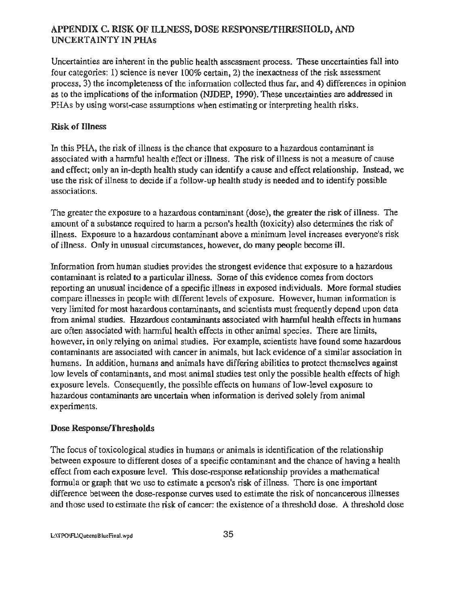# APPENDIX C. RISK OF ILLNESS, DOSE RESPONSErfHRESHOLD, AND UNCERTAINTY IN PHAs

Uncertainties are inherent in the public health assessment process. These uncertainties fall into four categories: 1) science is never 100% certain, 2) the inexactness of the risk assessment process, 3) the incompleteness of the information collected thus far, and 4) differences in opinion as to the implications of the information (NJDEP, 1990). These uncertainties are addressed in PHAs by using worst-case assumptions when estimating or interpreting health risks.

# Risk of Illness

In this PHA, the risk of illness is the chance that exposure to a hazardous contaminant is associated with a hannful health effect or illness. The risk of illness is not a measure of cause and effect; only an in-depth health study can identify a cause and effect relationship. Instead, we use the risk of illness to decide if a follow-up health study is needed and to identify possible associations.

The greater the exposure to a hazardous contaminant (dose), the greater the risk of illness. The amount of a substance required to harm a person's health (toxicity) also determines the risk of illness. Exposure to a hazardous contaminant above a minimum level increases everyone's risk of illness. Only in unusual circumstances, however, do many people become ill.

Information from human studies provides the strongest evidence that exposure to a hazardous contaminant is related to a particular illness. Some of this evidence comes from doctors reporting an unusual incidence of a specific illness in exposed individuals. More formal studies compare illnesses in people with different levels of exposure. However, human information is very limited for most hazardous contaminants, and scientists must frequently depend upon data from animal studies. Hazardous contaminants associated with harmful health effects in humans are often associated with hannful health effects in other animal species. There are limits, however, in only relying on animal studies. For example, scientists have found some hazardous contaminants are associated with cancer in animals, but lack evidence of a similar association in humans. In addition, humans and animals have differing abilities to protect themselves against low levels of contaminants, and most animal studies test only the possible health effects of high exposure levels. Consequently, the possible effects on humans of low-level exposure to hazardous contaminants are uncertain when information is derived solely from animal experiments.

#### Dose Response/Thresholds

The focus of toxicological studies in humans or animals is identification of the relationship between exposure to different doses of a specific contaminant and the chance of having a health effect from each exposure level. This dose-response relationship provides a mathematical formula or graph that we use to estimate a person's risk of illness. There is one important difference between the dose-response curves used to estimate the risk of noncancerous illnesses and those used to estimate the risk of cancer: the existence of a threshold dose. A threshold dose

L:\TPO\FL\QuecnsBiueFinal.wpd 35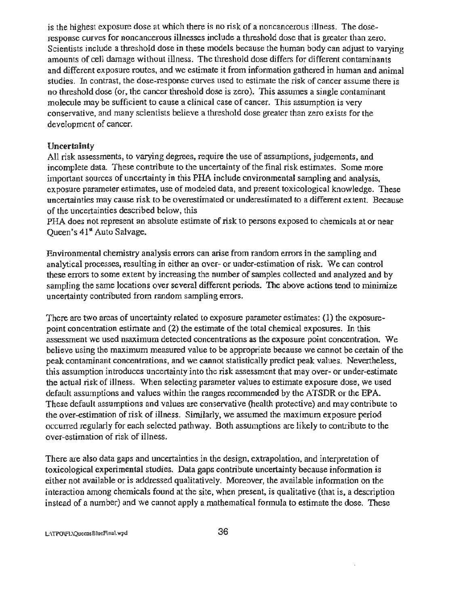is the highest exposure dose at which there is no risk of a noncancerous ilJness. The doseresponse curves for noncancerous illnesses include a threshold dose that is greater than zero. Scientists include a threshold dose in these models because the human body can adjust to varying amounts of cell damage without illness. The threshold dose differs for different contaminants and different exposure routes, and we estimate it from information gathered in human and animal studies. In contrast, the dose-response curves used to estimate the risk of cancer assume there is no threshold dose (or, the cancer threshold dose is zero). This assumes a single contaminant molecule may be sufficient to cause a clinical case of cancer. This assumption is very conservative, and many scientists believe a threshold dose greater than zero exists for the development of cancer.

#### **Uncertainty**

All risk assessments, to varying degrees, require the use of assumptions, judgements, and incomplete data. These contribute to the uncertainty of the final risk estimates. Some more important sources of uncertainty in this PHA include environmental sampling and analysis, exposure parameter estimates, use of modeled data, and present toxicological knowledge. These uncertainties may cause risk to be overestimated or underestimated to a different extent. Because of the uncertainties described below, this

PHA does not represent an absolute estimate of risk to persons exposed to chemicals at or near Oueen's 41<sup>st</sup> Auto Salvage.

Environmental chemistry analysis errors can arise from random errors in the sampling and analytical processes, resulting in either an over- or under-estimation of risk. We can control these errors to some extent by increasing the number of samples collected and analyzed and by sampling the same locations over several different periods. The above actions tend to minimize uncertainty contributed from random sampling errors.

There are two areas of uncertainty related to exposure parameter estimates: (1) the exposurepoint concentration estimate and (2) the estimate of the total chemical exposures. In this assessment we used maximum detected concentrations as the exposure point concentration. We believe using the maximum measured value to be appropriate because we cannot be certain of the peak contaminant concentrations, and we cannot statistically predict peak values. Nevertheless, this assumption introduces uncertainty into the risk assessment that may over- or under-estimate the actual risk of illness. When selecting parameter values to estimate exposure dose, we used default assumptions and values within the ranges recommended by the ATSDR or the EPA. These default assumptions and values are conservative (health protective) and may contribute to the over-estimation of risk of illness. Similarly, we assumed the maximum exposure period occurred regularly for each selected pathway. Both assumptions are likely to contribute to the over-estimation of risk of iUness.

There are also data gaps and uncertainties in the design, extrapolation, and interpretation of toxicological experimental studies. Data gaps contribute uncertainty because infonnation is either not available or is addressed qualitatively. Moreover, the available infonnation on the interaction among chemicals found at the site, when present, is qualitative (that is, a description instead of a number) and we cannot apply a mathematical fonnula to estimate the dose. These

L:\TPO\FL\QuccnsBlueFinal.wpd 36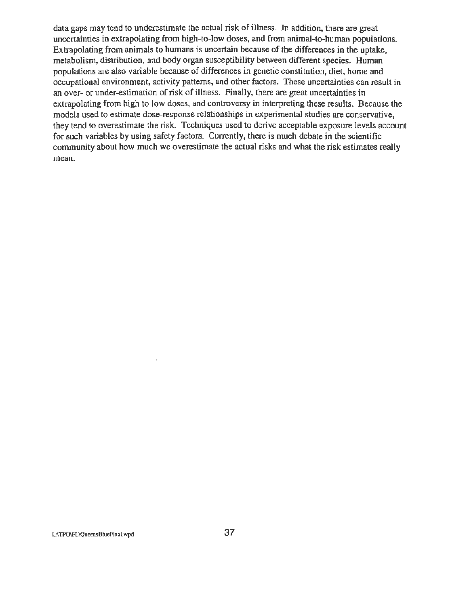data gaps may tend to underestimate the actual risk of illness. In addition, there are great uncertainties in extrapolating from high-to-low doses, and from animal-to-human populations. Extrapolating from animals to humans is uncertain because of the differences in the uptake, metabolism, distribution, and body organ susceptibility between different species. Human populations are also variable because of differences in genetic constitution, diet, home and occupational environment, activity patterns, and other factors. These uncertainties can result in an over- or under-estimation of risk of illness. Finally, there are great uncertainties in extrapolating from high to low doses, and controversy in interpreting these results. Because the models used to estimate dose-response relationships in experimental studies are conservative, they tend to overestimate the risk. Techniques used to derive acceptable exposure levels account for such variables by using safety factors. Currently, there is much debate in the scientific community about how much we overestimate the actual risks and what the risk estimates really mean.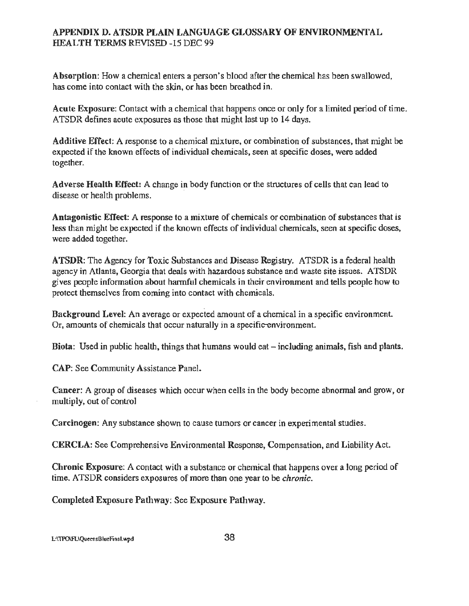# APPENDIX D. ATSDR PLAIN LANGUAGE GLOSSARY OF ENVIRONMENTAL HEALTH TERMS REVISED -15 DEC 99

Absorption: How a chemical enters a person's blood after the chemical has been swallowed, has come into contact with the skin, or has been breathed in.

Acute Exposure: Contact with a chemical that happens once or only for a limited period of time. ATSDR defines acute exposures as those that might last up to 14 days.

Additive Effect: A response to a chemical mixture. or combination of substances, that might be expected if the known effects of individual chemicals, seen at specific doses, were added together.

Adverse Health Effect: A change in body function or the structures of cells that can lead to disease or health problems.

Antagonistic Effect: A response to a mixture of chemicals or combination of substances that is less than might be expected if the known effects of individual chemicals, seen at specific doses, were added together.

ATSDR: The Agency for Toxic Substances and Disease Registry. ATSDR is a federal health agency in Atlanta, Georgia that deals with hazardous substance and waste site issues. ATSDR gives people information about harmful chemicals in their environment and tells people how to protect themselves from coming into contact with chemicals.

Background Level: An average or expected amount of a chemical in a specific environment. Or, amounts of chemicals that occur naturally in a specific-environment.

Biota: Used in public health, things that humans would eat- including animals, fish and plants.

CAP: See Community Assistance Panel.

Cancer: A group of diseases which occur when cells in the body become abnormal and grow, or multiply, out of control

Carcinogen: Any substance shown to cause tumors or cancer in experimental studies.

CERCLA: See Comprehensive Environmental Response, Compensation, and Liability Act.

Chronic Exposure: A contact with a substance or chemical that happens over a long period of time. ATSDR considers exposures of more than one year to be *chronic*.

Completed Exposure Pathway: See Exposure Pathway.

L:\TPO\FL\QuecnsDlueFinat.wpd 38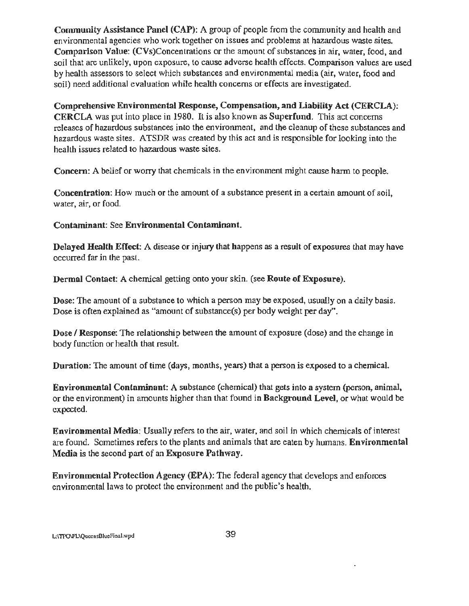Community Assistance Panel (CAP): A group of people from the community and health and environmental agencies who work together on issues and problems at hazardous waste sites. Comparison Value: (CVs)Concentrations or the amount of substances in air, water, food, and soil that are unlikely, upon exposure, to cause adverse health effects. Comparison values are used by health assessors to select which substances and environmental media (air, water, food and soil) need additional evaluation while health concerns or effects are investigated.

Comprehensive Environmental Response, Compensation, and Liability Act (CERCLA): CERCLA was put into place in 1980. It is also known as Superfund. This act concerns releases of hazardous substances into the environment, and the cleanup of these substances and hazardous waste sites. ATSDR was created by this act and is responsible for looking into the health issues related to hazardous waste sites.

Concern: A belief or worry that chemicals in the environment might cause hann to people.

Concentration: How much or the amount of a substance present in a certain amount of soil, water, air, or food.

Contaminant: See Environmental Contaminant.

Delayed Health Effect: A disease or injury that happens as a result of exposures that may have occurred far in the past.

Dermal Contact: A chemical getting onto your skin. (see Route of Exposure).

Dose: The amount of a substance to which a person may be exposed, usually on a daily basis. Dose is often explained as "amount of substance(s) per body weight per day".

Dose / Response: The relationship between the amount of exposure (dose) and the change in body function or health that result.

Duration: The amount of time (days, months, years) that a person is exposed to a chemical.

Environmental Contaminant: A substance (chemical) that gets into a system (person, animal, or the environment) in amounts higher than that found in Background Level, or what would be expected.

Environmental Media: Usually refers to the air, water, and soil in which chemicals of interest are found. Sometimes refers to the plants and animals that are eaten by humans. Environmental Media is the second part of an Exposure Pathway.

Environmental Protection Agency (EPA): The federal agency that develops and enforces environmental laws to protect the environment and the public's health.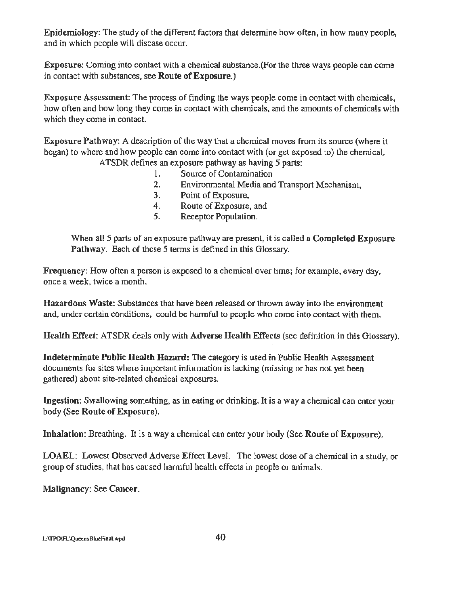Epidemiology: The study of the different factors that determine how often, in how many people, and in which people will disease occur.

Exposure: Coming into contact with a chemical substance.(For the three ways people can come in contact with substances, see Route of Exposure.)

Exposure Assessment: The process of finding the ways people come in contact with chemicals, how often and how long they come in contact with chemicals, and the amounts of chemicals with which they come in contact.

Exposure Pathway: A description of the way that a chemical moves from its source (where it began) to where and how people can come into contact with (or get exposed to) the chemical. ATSDR defines an exposure pathway as having 5 parts:

- - 1. Source of Contamination
	- 2. Environmental Media and Transport Mechanism,
	- 3. Point of Exposure,
	- 4. Route of Exposure, and
	- 5. Receptor Population.

When all 5 parts of an exposure pathway are present, it is called a Completed Exposure Pathway. Each of these 5 terms is defined in this Glossary.

Frequency: How often a person is exposed to a chemical over time; for example, every day, once a week, twice a month.

Hazardous Waste: Substances that have been released or thrown away into the environment and, under certain conditions, could be harmful to people who come into contact with them.

Health Effect: ATSDR deals only with Adverse Health Effects (see definition in this Glossary).

Indeterminate Public Health Hazard: The category is used in Public Health Assessment documents for sites where important information is lacking (missing or has not yet been gathered) about site-related chemical exposures.

Ingestion: Swallowing something, as in eating or drinking. It is a way a chemical can enter your body (See Route of Exposure).

Inhalation: Breathing. It is a way a chemical can enter your body (See Route of Exposure).

LOAEL: Lowest Observed Adverse Effect Level. The lowest dose of a chemical in a study, or group of studies, that has caused harmful health effects in people or animals.

Malignancy: See Cancer.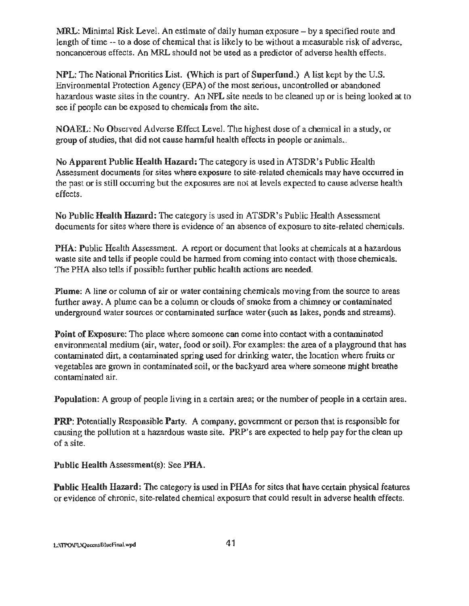MRL: Minimal Risk Level. An estimate of daily human exposure- by a specified route and length of time-- to a dose of chemical that is likely to be without a measurable risk of adverse, noncancerous effects. An MRL should not be used as a predictor of adverse health effects.

NPL: The National Priorities List. (Which is part of Superfund.) A list kept by the U.S. Environmental Protection Agency (EPA) of the most serious, uncontrolled or abandoned hazardous waste sites in the country. An NPL site needs to be cleaned up or is being looked at to see if people can be exposed to chemicals from the site.

NOAEL: No Observed Adverse Effect Level. The highest dose of a chemical in a study, or group of studies, that did not cause harmful health effects in people or animals .

No Apparent Public Health Hazard: The category is used in ATSDR's Public Health Assessment documents for sites where exposure to site-related chemicals may have occurred in the past or is still occurring but the exposures are not at levels expected to cause adverse health effects.

No Public Health Hazard: The category is used in ATSDR's Public Health Assessment documents for sites where there is evidence of an absence of exposure to site-related chemicals.

PHA: Public Health Assessment. A report or document that looks at chemicals at a hazardous waste site and tells if people could be harmed from coming into contact with those chemicals. The PHA also tells if possible further public health actions are needed.

Plume: A line or column of air or water containing chemicals moving from the source to areas further away. A plume can be a column or clouds of smoke from a chimney or contaminated underground water sources or contaminated surface water (such as lakes, ponds and streams).

Point of Exposure: The place where someone can come into contact with a contaminated environmental medium (air, water, food or soil). For examples: the area of a playground that has contaminated dirt, a contaminated spring used for drinking water, the location where fruits or vegetables are grown in contaminated soil, or the backyard area where someone might breathe contaminated air.

Population: A group of people living in a certain area; or the number of people in a certain area.

PRP: Potentially Responsible Party. A company, government or person that is responsible for causing the pollution at a hazardous waste site. PRP's are expected to help pay for the clean up of a site.

Public Health Assessment(s): See PHA.

Public Health Hazard: The category is used in PHAs for sites that have certain physical features or evidence of chronic, site-related chemical exposure that could result in adverse health effects.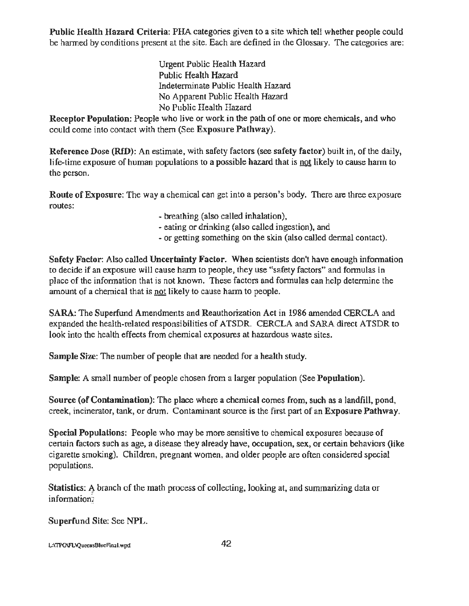Public Health Hazard Criteria: PHA categories given to a site which tell whether people could be harmed by conditions present at the site. Each are defined in the Glossary. The categories are:

> Urgent Public Health Hazard Public Health Hazard Indeterminate Public Health Hazard No Apparent Public Health Hazard No Public Health Hazard

Receptor Population: People who live or work in the path of one or more chemicals, and who could come into contact with them (See Exposure Pathway).

Reference Dose (RID): An estimate, with safety factors (see safety factor) built in, of the daily, life-time exposure of human populations to a possible hazard that is not likely to cause harm to the person.

Route of Exposure: The way a chemical can get into a person's body. There are three exposure routes:

- breathing (also called inhalation),
- eating or drinking (also called ingestion), and
- or getting something on the *skin* (also called dermal contact).

Safety Factor: Also called Uncertainty Factor. When scientists don't have enough information to decide if an exposure will cause harm to people, they use "safety factors" and formulas in place of the information that is not known. These factors and formulas can help determine the amount of a chemical that is not likely to cause harm to people.

SARA: The Superfund Amendments and Reauthorization Act in 1986 amended CERCLA and expanded the health-related responsibilities of ATSDR. CERCLA and SARA direct ATSDR to look into the health effects from chemical exposures at hazardous waste sites.

Sample Size: The number of people that are needed for a health study.

Sample: A small number of people chosen from a larger population (See Population).

Source (of Contamination): The place where a chemical comes from, such as a landfill, pond, creek, incinerator, tank, or drum. Contaminant source is the first part of an Exposure Pathway.

Special Populations: People who may be more sensitive to chemical exposures because of certain factors such as age, a disease they already have, occupation, sex, or certain behaviors (like cigarette smoking). Children, pregnant women, and older people are often considered special populations.

Statistics: A branch of the math process of collecting, looking at, and summarizing data or information.

Superfund Site: See NPL.

L:\TPO\FL\QueensBiueFinal.wpd 42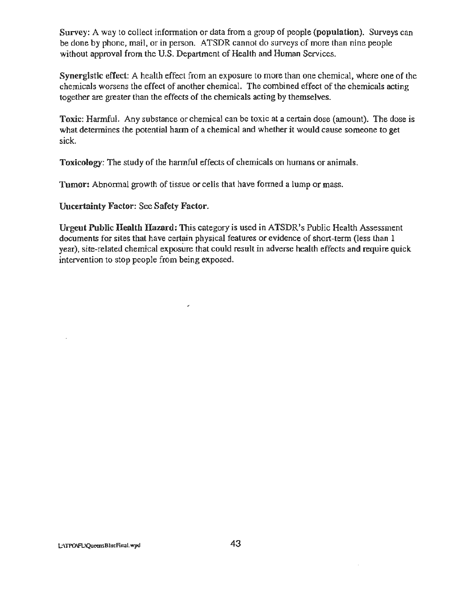Survey: A way to collect information or data from a group of people (population). Surveys can be done by phone, mail, or in person. ATSDR cannot do surveys of more than nine peopie without approval from the U.S. Department of Health and Human Services.

Synergistic effect: A health effect from an exposure to more than one chemical, where one of the chemicals worsens the effect of another chemical. The combined effect of the chemicals acting together are greater than the effects of the chemicals acting by themselves.

Toxic: Harmful. Any substance or chemical can be toxic at a certain dose (amount). The dose is what determines the potential harm of a chemical and whether it would cause someone to get sick.

Toxicology: The study of the harmful effects of chemicals on humans or animals.

Tumor: Abnormal growth of tissue or cells that have formed a lump or mass.

Uncertainty Factor: See Safety Factor.

Urgent Public Health Hazard: This category is used in ATSDR's Public Health Assessment documents for sites that have certain physical features or evidence of short-term (less than 1 year), site-related chemical exposure that could result in adverse health effects and require quick intervention to stop people from being exposed.